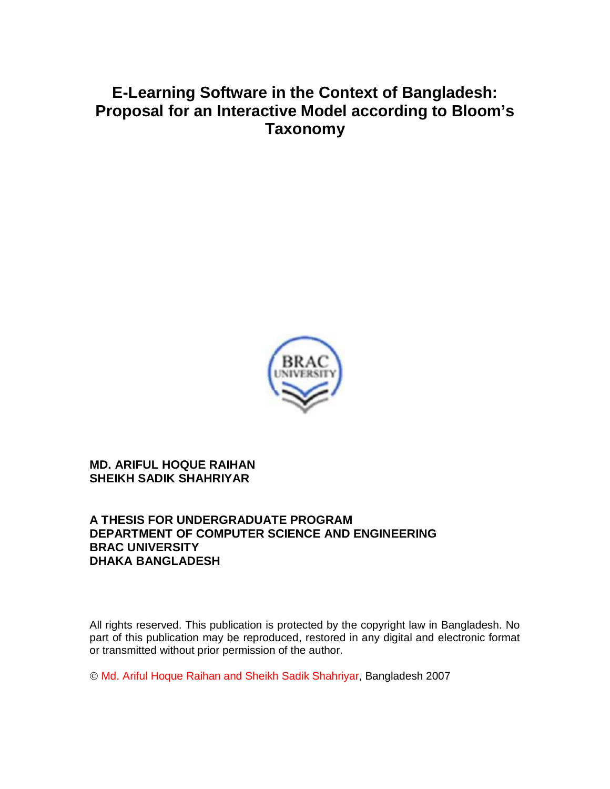# **E-Learning Software in the Context of Bangladesh: Proposal for an Interactive Model according to Bloom's Taxonomy**



#### **MD. ARIFUL HOQUE RAIHAN SHEIKH SADIK SHAHRIYAR**

#### **A THESIS FOR UNDERGRADUATE PROGRAM DEPARTMENT OF COMPUTER SCIENCE AND ENGINEERING BRAC UNIVERSITY DHAKA BANGLADESH**

All rights reserved. This publication is protected by the copyright law in Bangladesh. No part of this publication may be reproduced, restored in any digital and electronic format or transmitted without prior permission of the author.

© Md. Ariful Hoque Raihan and Sheikh Sadik Shahriyar, Bangladesh 2007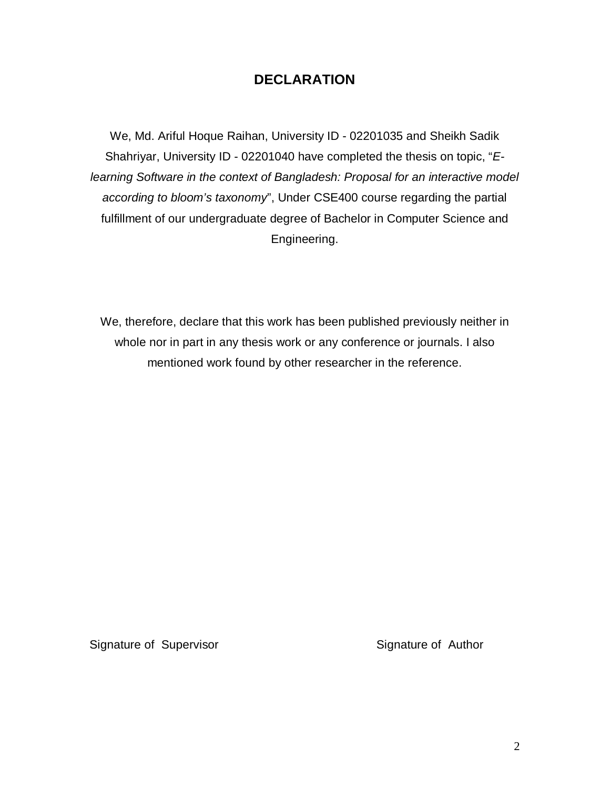## **DECLARATION**

We, Md. Ariful Hoque Raihan, University ID - 02201035 and Sheikh Sadik Shahriyar, University ID - 02201040 have completed the thesis on topic, "*Elearning Software in the context of Bangladesh: Proposal for an interactive model according to bloom's taxonomy*", Under CSE400 course regarding the partial fulfillment of our undergraduate degree of Bachelor in Computer Science and Engineering.

We, therefore, declare that this work has been published previously neither in whole nor in part in any thesis work or any conference or journals. I also mentioned work found by other researcher in the reference.

Signature of Supervisor Signature of Author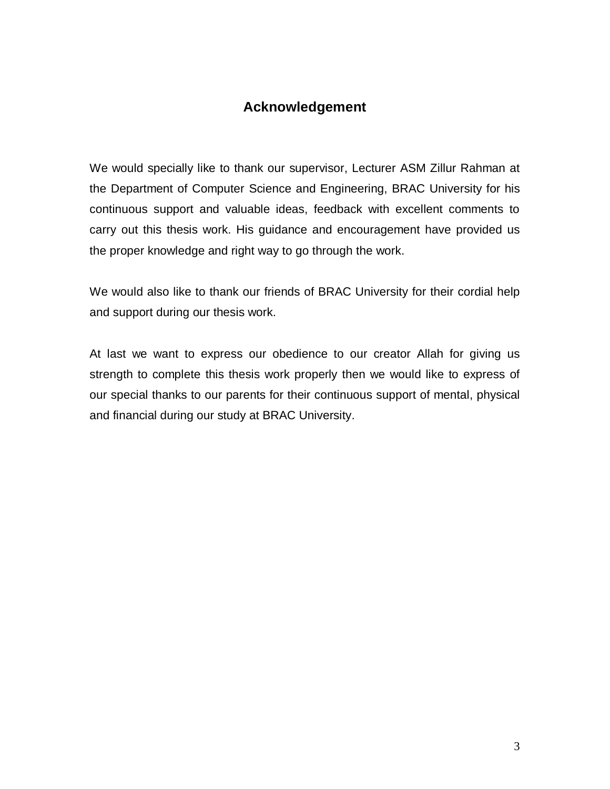### **Acknowledgement**

We would specially like to thank our supervisor, Lecturer ASM Zillur Rahman at the Department of Computer Science and Engineering, BRAC University for his continuous support and valuable ideas, feedback with excellent comments to carry out this thesis work. His guidance and encouragement have provided us the proper knowledge and right way to go through the work.

We would also like to thank our friends of BRAC University for their cordial help and support during our thesis work.

At last we want to express our obedience to our creator Allah for giving us strength to complete this thesis work properly then we would like to express of our special thanks to our parents for their continuous support of mental, physical and financial during our study at BRAC University.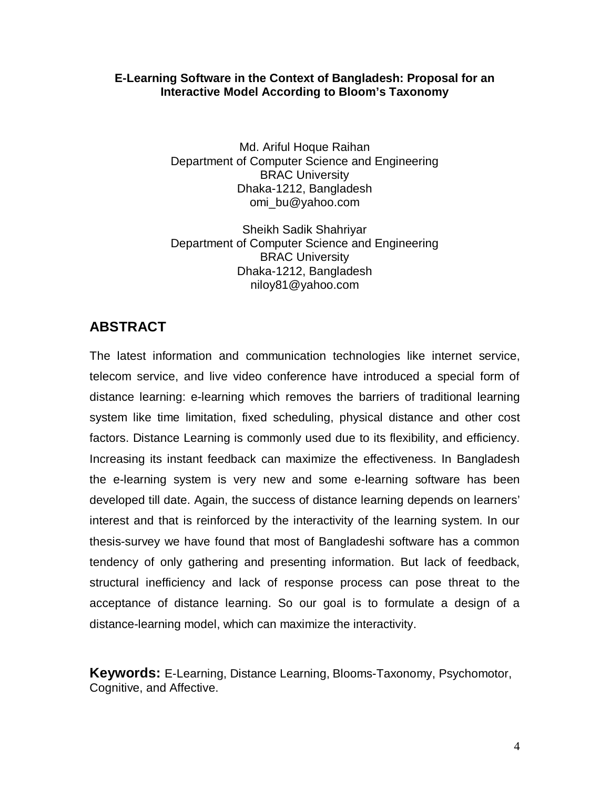#### **E-Learning Software in the Context of Bangladesh: Proposal for an Interactive Model According to Bloom's Taxonomy**

Md. Ariful Hoque Raihan Department of Computer Science and Engineering BRAC University Dhaka-1212, Bangladesh omi\_bu@yahoo.com

Sheikh Sadik Shahriyar Department of Computer Science and Engineering BRAC University Dhaka-1212, Bangladesh niloy81@yahoo.com

# **ABSTRACT**

The latest information and communication technologies like internet service, telecom service, and live video conference have introduced a special form of distance learning: e-learning which removes the barriers of traditional learning system like time limitation, fixed scheduling, physical distance and other cost factors. Distance Learning is commonly used due to its flexibility, and efficiency. Increasing its instant feedback can maximize the effectiveness. In Bangladesh the e-learning system is very new and some e-learning software has been developed till date. Again, the success of distance learning depends on learners' interest and that is reinforced by the interactivity of the learning system. In our thesis-survey we have found that most of Bangladeshi software has a common tendency of only gathering and presenting information. But lack of feedback, structural inefficiency and lack of response process can pose threat to the acceptance of distance learning. So our goal is to formulate a design of a distance-learning model, which can maximize the interactivity.

**Keywords:** E-Learning, Distance Learning, Blooms-Taxonomy, Psychomotor, Cognitive, and Affective.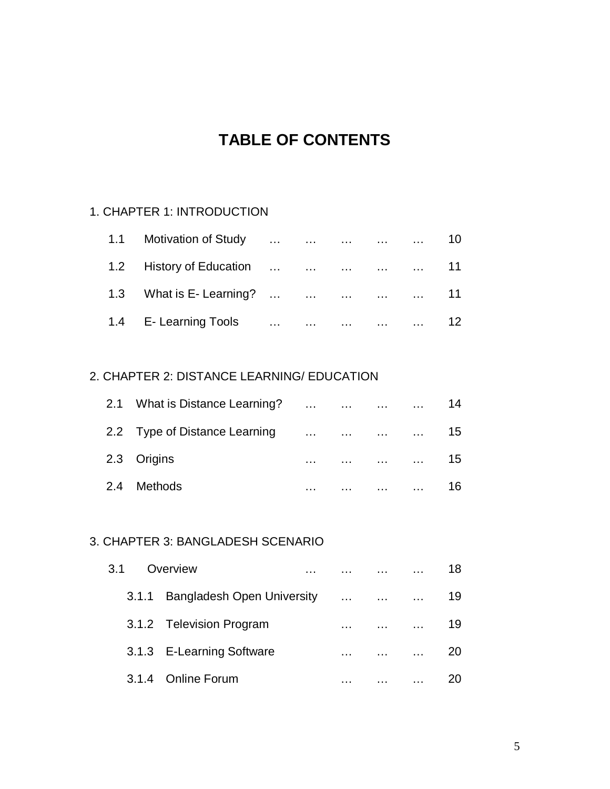# **TABLE OF CONTENTS**

#### 1. CHAPTER 1: INTRODUCTION

| 1.1 Motivation of Study      10  |  |  |  |
|----------------------------------|--|--|--|
| 1.2 History of Education      11 |  |  |  |
| 1.3 What is E-Learning?       11 |  |  |  |
| 1.4 E-Learning Tools      12     |  |  |  |

#### 2. CHAPTER 2: DISTANCE LEARNING/ EDUCATION

|  | 2.1 What is Distance Learning? |                                                                                                                     |          |          | 14  |
|--|--------------------------------|---------------------------------------------------------------------------------------------------------------------|----------|----------|-----|
|  | 2.2 Type of Distance Learning  | and the contract of the contract of the contract of the contract of the contract of the contract of the contract of |          |          | 15  |
|  | 2.3 Origins                    | $\cdots$                                                                                                            | $\cdots$ |          | 15. |
|  | 2.4 Methods                    | .                                                                                                                   |          | $\cdots$ |     |

#### 3. CHAPTER 3: BANGLADESH SCENARIO

| 3.1 |       | Overview                          |          |          |          | 18 |
|-----|-------|-----------------------------------|----------|----------|----------|----|
|     | 3.1.1 | <b>Bangladesh Open University</b> | $\cdots$ | $\cdots$ | $\cdots$ | 19 |
|     |       | 3.1.2 Television Program          | .        |          | $\cdots$ | 19 |
|     |       | 3.1.3 E-Learning Software         | .        |          |          | 20 |
|     |       | 3.1.4 Online Forum                |          |          |          |    |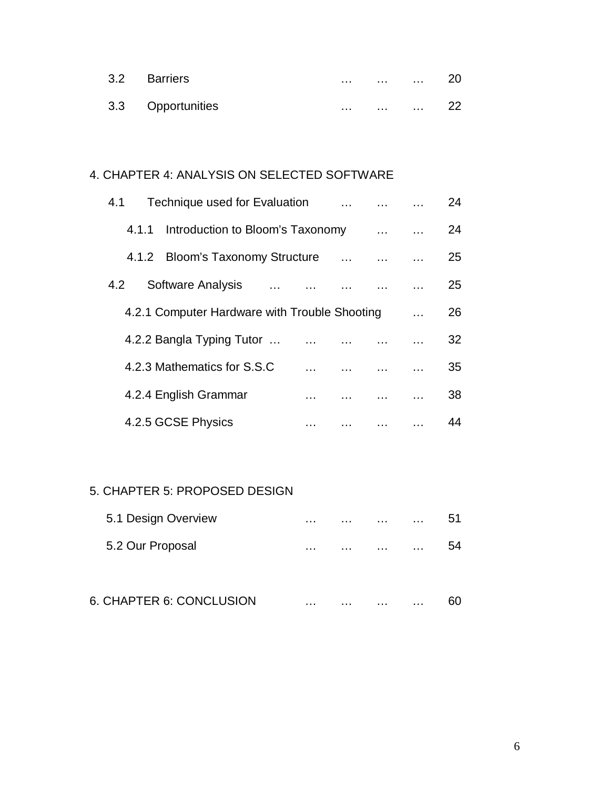| 3.2 Barriers      | $\cdots$ | .        | $\sim$ 100 $\sim$ | 20 |
|-------------------|----------|----------|-------------------|----|
| 3.3 Opportunities | $\cdots$ | $\cdots$ | $\sim$ $\sim$     |    |

## 4. CHAPTER 4: ANALYSIS ON SELECTED SOFTWARE

| 4.1   | Technique used for Evaluation                 |  |          |          |           | 24 |
|-------|-----------------------------------------------|--|----------|----------|-----------|----|
| 4.1.1 | Introduction to Bloom's Taxonomy              |  |          | $\cdots$ | $\ddotsc$ | 24 |
|       | 4.1.2 Bloom's Taxonomy Structure              |  | $\ldots$ |          |           | 25 |
| 4.2   | Software Analysis                             |  |          |          |           | 25 |
|       | 4.2.1 Computer Hardware with Trouble Shooting |  |          |          |           | 26 |
|       | 4.2.2 Bangla Typing Tutor                     |  |          |          |           | 32 |
|       | 4.2.3 Mathematics for S.S.C                   |  |          |          |           | 35 |
|       | 4.2.4 English Grammar                         |  |          |          |           | 38 |
|       | 4.2.5 GCSE Physics                            |  |          |          |           | 44 |

#### 5. CHAPTER 5: PROPOSED DESIGN

| 5.1 Design Overview      | $\cdots$ | . | $\cdots$ | .        | 51 |
|--------------------------|----------|---|----------|----------|----|
| 5.2 Our Proposal         | $\cdots$ | . | $\cdots$ | $\cdots$ | 54 |
| 6. CHAPTER 6: CONCLUSION | $\cdots$ |   |          | .        |    |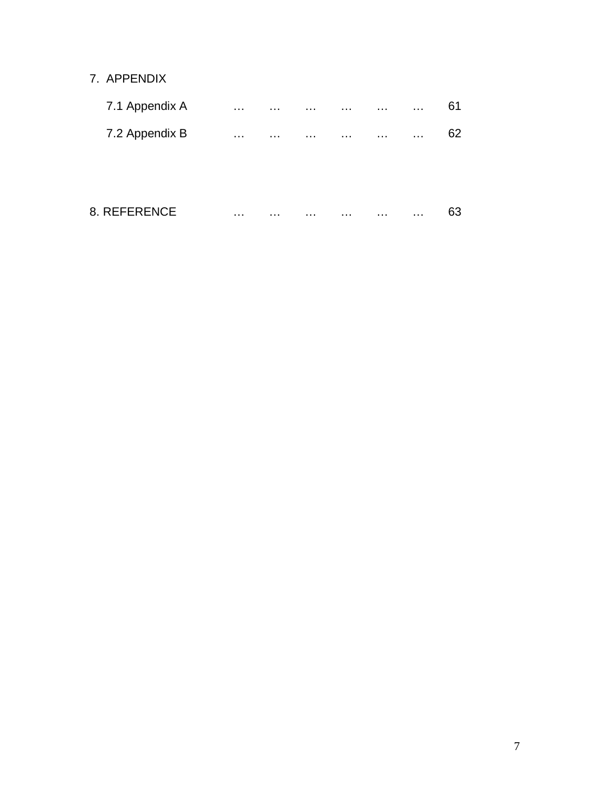### 7. APPENDIX

| 7.1 Appendix A | $\sim$ $\sim$ $\sim$ | .        | $\cdots$ | . | $\cdots$ | $\cdots$ | 61 |
|----------------|----------------------|----------|----------|---|----------|----------|----|
| 7.2 Appendix B | $\cdots$             | $\cdots$ | $\cdots$ | . | $\cdots$ | .        | 62 |
|                |                      |          |          |   |          |          |    |
|                |                      |          |          |   |          |          |    |
| 8. REFERENCE   | $\cdots$             |          | .        | . | $\cdots$ | $\cdots$ | 63 |
|                |                      |          |          |   |          |          |    |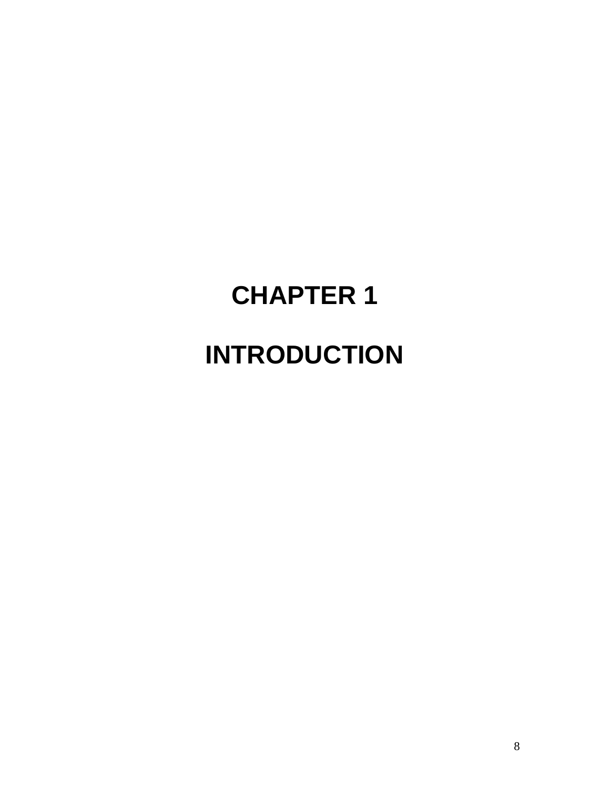# **CHAPTER 1 INTRODUCTION**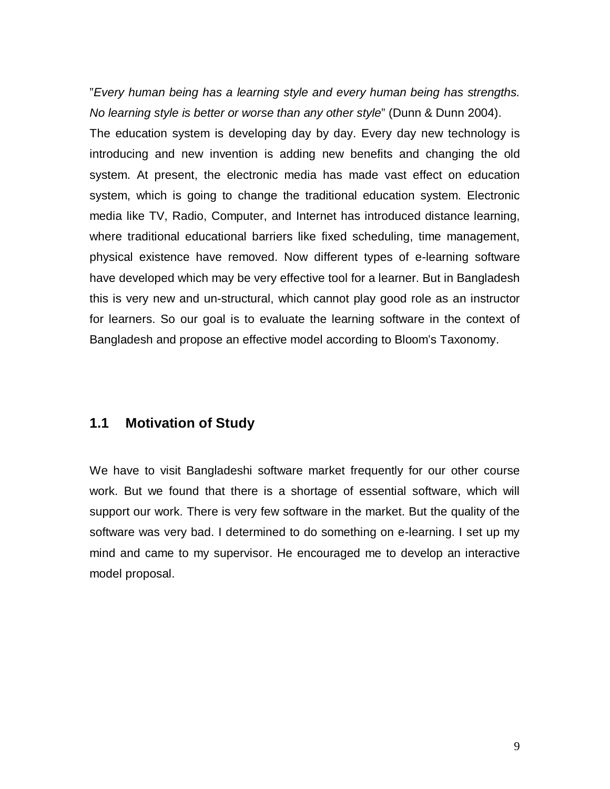"*Every human being has a learning style and every human being has strengths. No learning style is better or worse than any other style*" (Dunn & Dunn 2004). The education system is developing day by day. Every day new technology is introducing and new invention is adding new benefits and changing the old system. At present, the electronic media has made vast effect on education system, which is going to change the traditional education system. Electronic media like TV, Radio, Computer, and Internet has introduced distance learning, where traditional educational barriers like fixed scheduling, time management, physical existence have removed. Now different types of e-learning software have developed which may be very effective tool for a learner. But in Bangladesh this is very new and un-structural, which cannot play good role as an instructor for learners. So our goal is to evaluate the learning software in the context of Bangladesh and propose an effective model according to Bloom's Taxonomy.

#### **1.1 Motivation of Study**

We have to visit Bangladeshi software market frequently for our other course work. But we found that there is a shortage of essential software, which will support our work. There is very few software in the market. But the quality of the software was very bad. I determined to do something on e-learning. I set up my mind and came to my supervisor. He encouraged me to develop an interactive model proposal.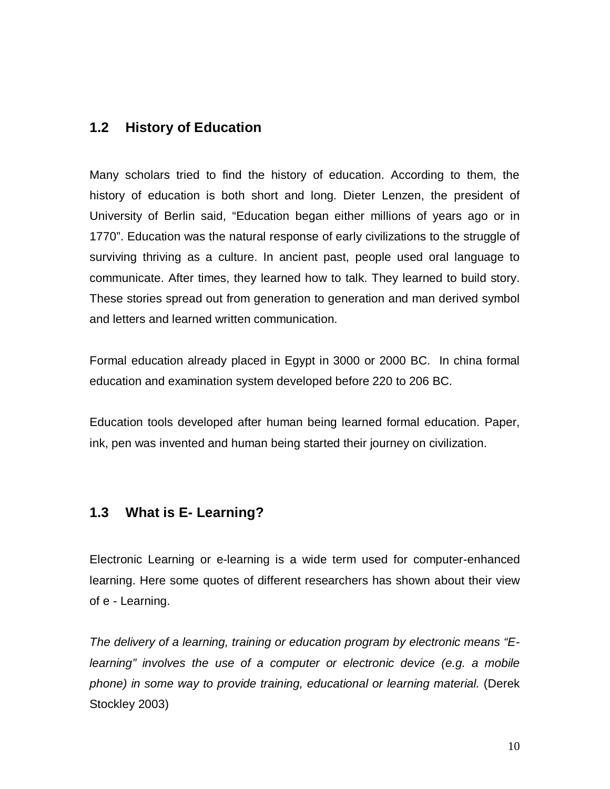#### **1.2 History of Education**

Many scholars tried to find the history of education. According to them, the history of education is both short and long. Dieter Lenzen, the president of University of Berlin said, "Education began either millions of years ago or in 1770". Education was the natural response of early civilizations to the struggle of surviving thriving as a culture. In ancient past, people used oral language to communicate. After times, they learned how to talk. They learned to build story. These stories spread out from generation to generation and man derived symbol and letters and learned written communication.

Formal education already placed in Egypt in 3000 or 2000 BC. In china formal education and examination system developed before 220 to 206 BC.

Education tools developed after human being learned formal education. Paper, ink, pen was invented and human being started their journey on civilization.

#### **1.3 What is E- Learning?**

Electronic Learning or e-learning is a wide term used for computer-enhanced learning. Here some quotes of different researchers has shown about their view of e - Learning.

*The delivery of a learning, training or education program by electronic means "Elearning" involves the use of a computer or electronic device (e.g. a mobile phone) in some way to provide training, educational or learning material.* (Derek Stockley 2003)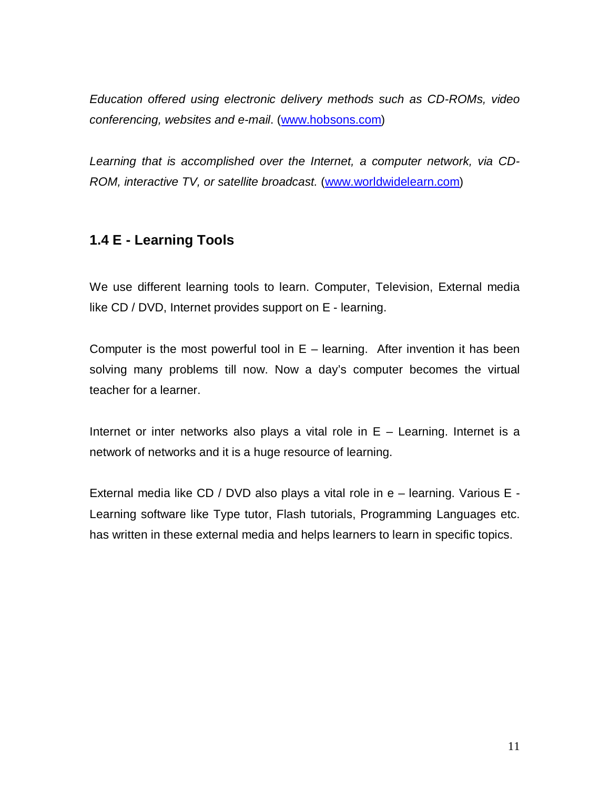*Education offered using electronic delivery methods such as CD-ROMs, video conferencing, websites and e-mail*. (www.hobsons.com)

*Learning that is accomplished over the Internet, a computer network, via CD-ROM, interactive TV, or satellite broadcast.* (www.worldwidelearn.com)

# **1.4 E - Learning Tools**

We use different learning tools to learn. Computer, Television, External media like CD / DVD, Internet provides support on E - learning.

Computer is the most powerful tool in  $E -$  learning. After invention it has been solving many problems till now. Now a day's computer becomes the virtual teacher for a learner.

Internet or inter networks also plays a vital role in  $E -$  Learning. Internet is a network of networks and it is a huge resource of learning.

External media like CD / DVD also plays a vital role in e – learning. Various E - Learning software like Type tutor, Flash tutorials, Programming Languages etc. has written in these external media and helps learners to learn in specific topics.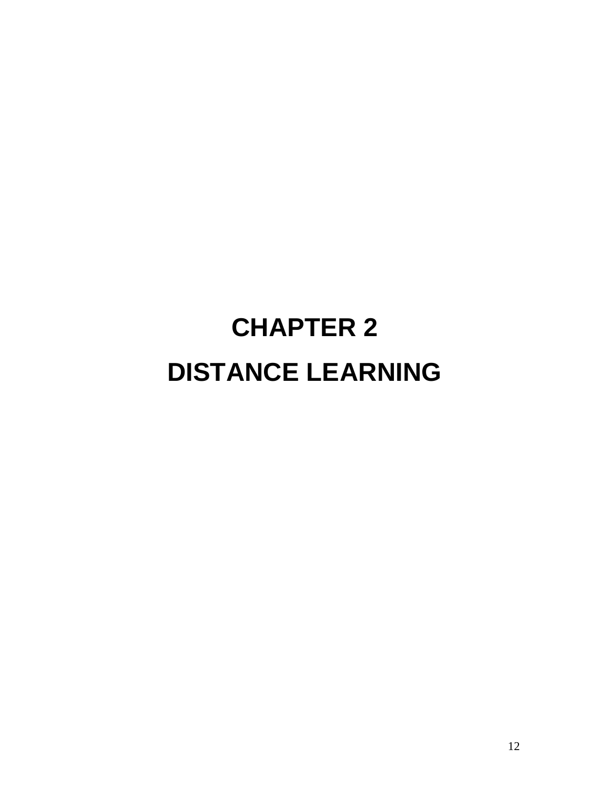# **CHAPTER 2 DISTANCE LEARNING**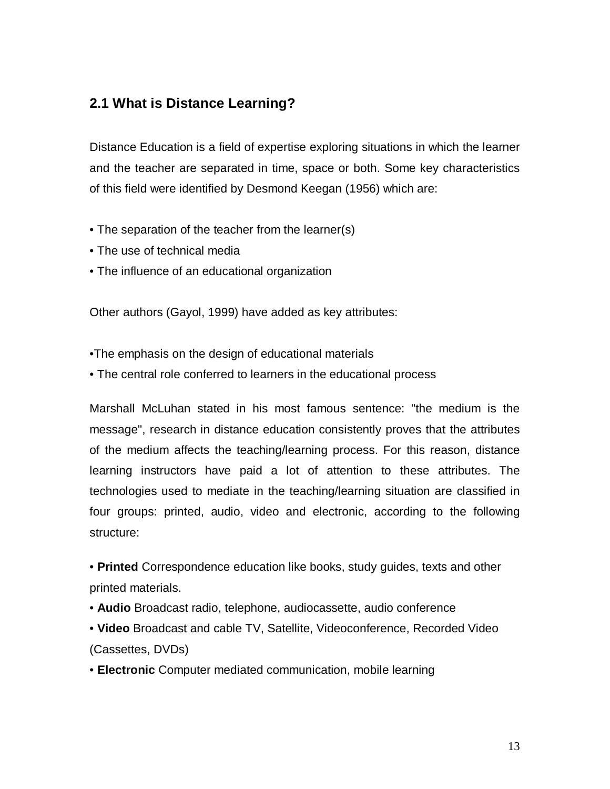### **2.1 What is Distance Learning?**

Distance Education is a field of expertise exploring situations in which the learner and the teacher are separated in time, space or both. Some key characteristics of this field were identified by Desmond Keegan (1956) which are:

- The separation of the teacher from the learner(s)
- The use of technical media
- The influence of an educational organization

Other authors (Gayol, 1999) have added as key attributes:

•The emphasis on the design of educational materials

• The central role conferred to learners in the educational process

Marshall McLuhan stated in his most famous sentence: "the medium is the message", research in distance education consistently proves that the attributes of the medium affects the teaching/learning process. For this reason, distance learning instructors have paid a lot of attention to these attributes. The technologies used to mediate in the teaching/learning situation are classified in four groups: printed, audio, video and electronic, according to the following structure:

• **Printed** Correspondence education like books, study guides, texts and other printed materials.

- **Audio** Broadcast radio, telephone, audiocassette, audio conference
- **Video** Broadcast and cable TV, Satellite, Videoconference, Recorded Video (Cassettes, DVDs)
- **Electronic** Computer mediated communication, mobile learning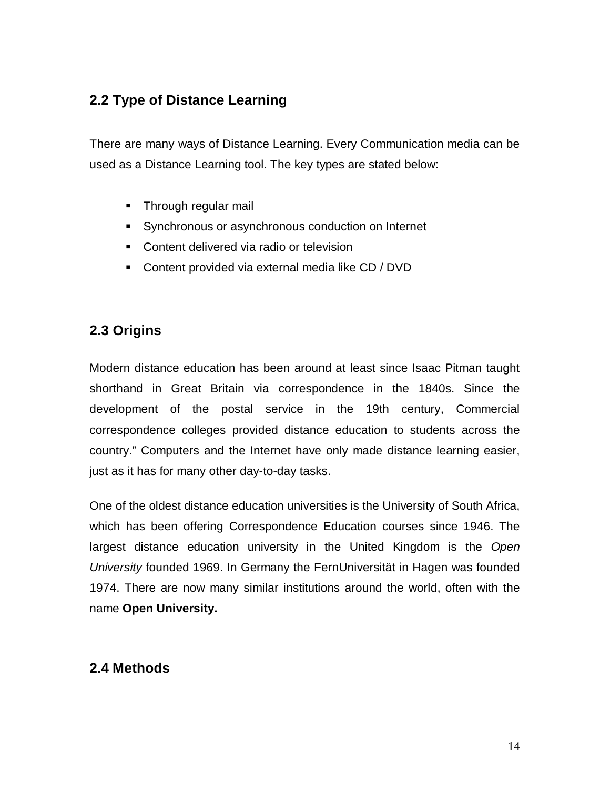# **2.2 Type of Distance Learning**

There are many ways of Distance Learning. Every Communication media can be used as a Distance Learning tool. The key types are stated below:

- **Through regular mail**
- Synchronous or asynchronous conduction on Internet
- **Content delivered via radio or television**
- **Content provided via external media like CD / DVD**

# **2.3 Origins**

Modern distance education has been around at least since Isaac Pitman taught shorthand in Great Britain via correspondence in the 1840s. Since the development of the postal service in the 19th century, Commercial correspondence colleges provided distance education to students across the country." Computers and the Internet have only made distance learning easier, just as it has for many other day-to-day tasks.

One of the oldest distance education universities is the University of South Africa, which has been offering Correspondence Education courses since 1946. The largest distance education university in the United Kingdom is the *Open University* founded 1969. In Germany the FernUniversität in Hagen was founded 1974. There are now many similar institutions around the world, often with the name **Open University.**

## **2.4 Methods**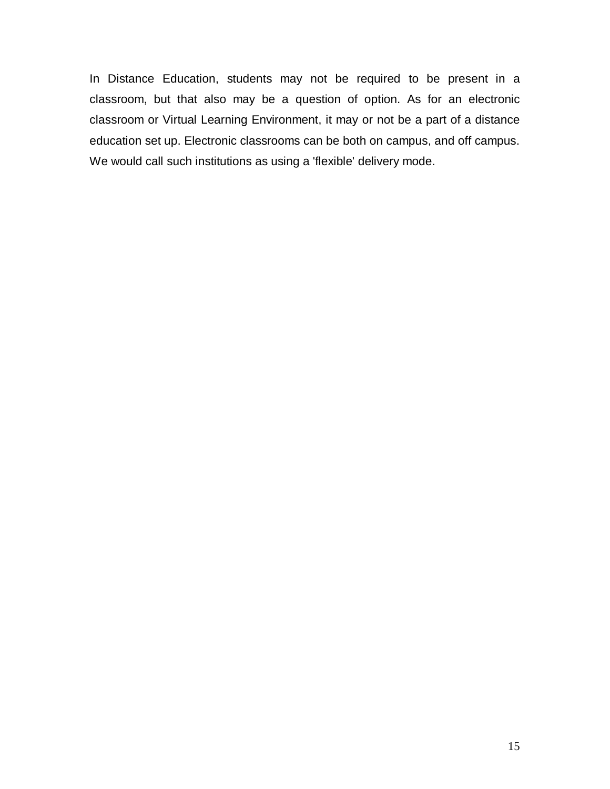In Distance Education, students may not be required to be present in a classroom, but that also may be a question of option. As for an electronic classroom or Virtual Learning Environment, it may or not be a part of a distance education set up. Electronic classrooms can be both on campus, and off campus. We would call such institutions as using a 'flexible' delivery mode.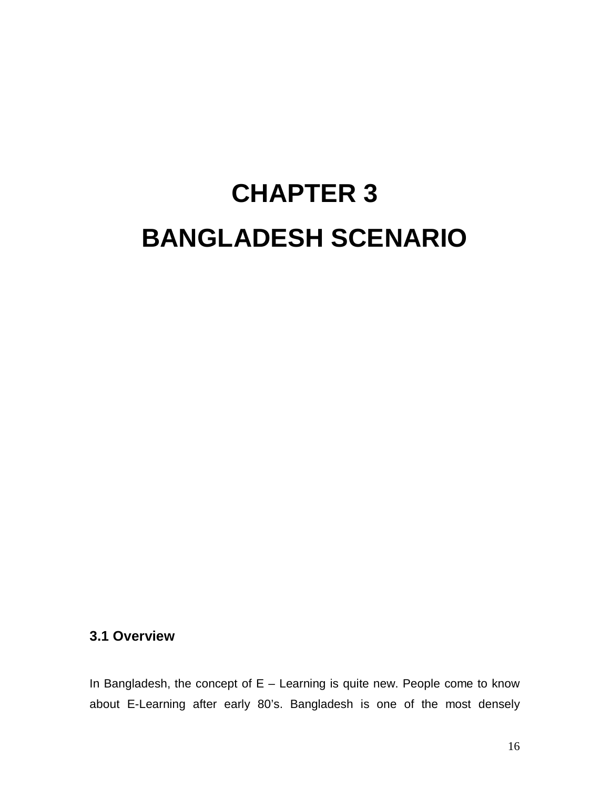# **CHAPTER 3 BANGLADESH SCENARIO**

#### **3.1 Overview**

In Bangladesh, the concept of  $E -$  Learning is quite new. People come to know about E-Learning after early 80's. Bangladesh is one of the most densely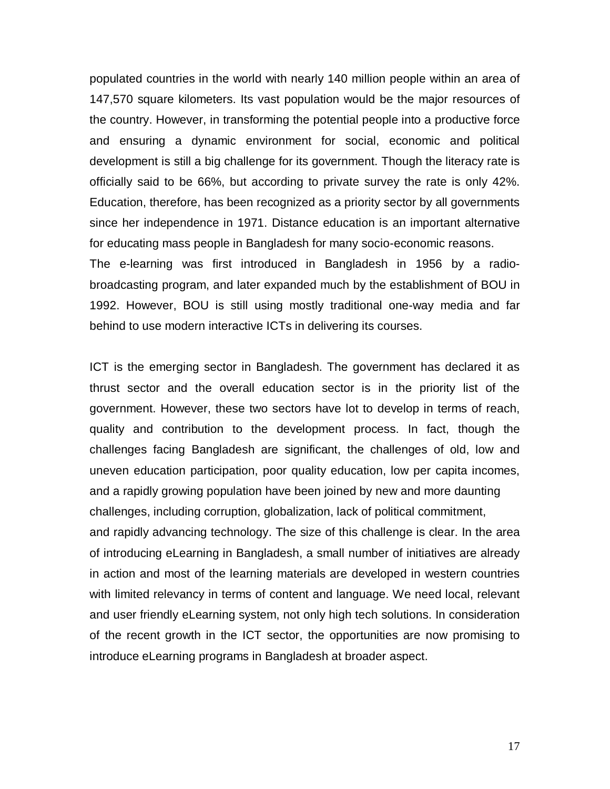populated countries in the world with nearly 140 million people within an area of 147,570 square kilometers. Its vast population would be the major resources of the country. However, in transforming the potential people into a productive force and ensuring a dynamic environment for social, economic and political development is still a big challenge for its government. Though the literacy rate is officially said to be 66%, but according to private survey the rate is only 42%. Education, therefore, has been recognized as a priority sector by all governments since her independence in 1971. Distance education is an important alternative for educating mass people in Bangladesh for many socio-economic reasons. The e-learning was first introduced in Bangladesh in 1956 by a radiobroadcasting program, and later expanded much by the establishment of BOU in 1992. However, BOU is still using mostly traditional one-way media and far behind to use modern interactive ICTs in delivering its courses.

ICT is the emerging sector in Bangladesh. The government has declared it as thrust sector and the overall education sector is in the priority list of the government. However, these two sectors have lot to develop in terms of reach, quality and contribution to the development process. In fact, though the challenges facing Bangladesh are significant, the challenges of old, low and uneven education participation, poor quality education, low per capita incomes, and a rapidly growing population have been joined by new and more daunting challenges, including corruption, globalization, lack of political commitment, and rapidly advancing technology. The size of this challenge is clear. In the area of introducing eLearning in Bangladesh, a small number of initiatives are already in action and most of the learning materials are developed in western countries with limited relevancy in terms of content and language. We need local, relevant and user friendly eLearning system, not only high tech solutions. In consideration of the recent growth in the ICT sector, the opportunities are now promising to introduce eLearning programs in Bangladesh at broader aspect.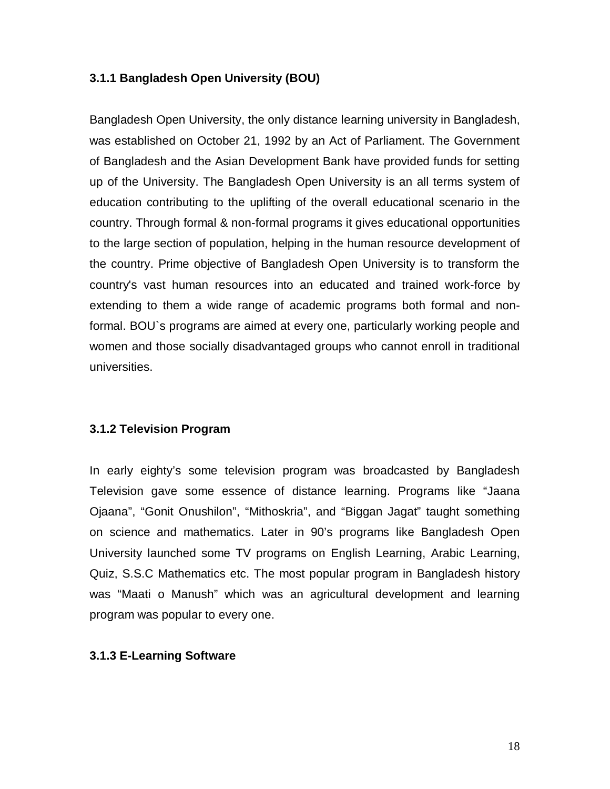#### **3.1.1 Bangladesh Open University (BOU)**

Bangladesh Open University, the only distance learning university in Bangladesh, was established on October 21, 1992 by an Act of Parliament. The Government of Bangladesh and the Asian Development Bank have provided funds for setting up of the University. The Bangladesh Open University is an all terms system of education contributing to the uplifting of the overall educational scenario in the country. Through formal & non-formal programs it gives educational opportunities to the large section of population, helping in the human resource development of the country. Prime objective of Bangladesh Open University is to transform the country's vast human resources into an educated and trained work-force by extending to them a wide range of academic programs both formal and nonformal. BOU`s programs are aimed at every one, particularly working people and women and those socially disadvantaged groups who cannot enroll in traditional universities.

#### **3.1.2 Television Program**

In early eighty's some television program was broadcasted by Bangladesh Television gave some essence of distance learning. Programs like "Jaana Ojaana", "Gonit Onushilon", "Mithoskria", and "Biggan Jagat" taught something on science and mathematics. Later in 90's programs like Bangladesh Open University launched some TV programs on English Learning, Arabic Learning, Quiz, S.S.C Mathematics etc. The most popular program in Bangladesh history was "Maati o Manush" which was an agricultural development and learning program was popular to every one.

#### **3.1.3 E-Learning Software**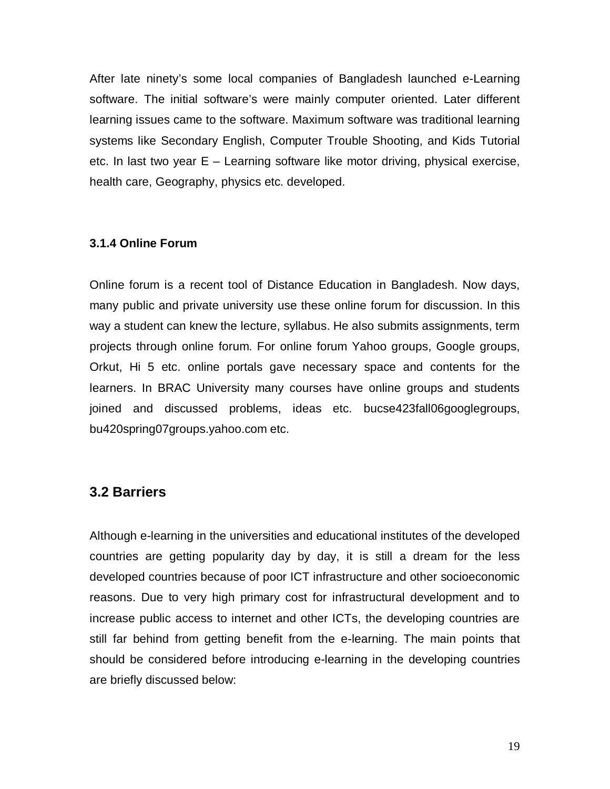After late ninety's some local companies of Bangladesh launched e-Learning software. The initial software's were mainly computer oriented. Later different learning issues came to the software. Maximum software was traditional learning systems like Secondary English, Computer Trouble Shooting, and Kids Tutorial etc. In last two year E – Learning software like motor driving, physical exercise, health care, Geography, physics etc. developed.

#### **3.1.4 Online Forum**

Online forum is a recent tool of Distance Education in Bangladesh. Now days, many public and private university use these online forum for discussion. In this way a student can knew the lecture, syllabus. He also submits assignments, term projects through online forum. For online forum Yahoo groups, Google groups, Orkut, Hi 5 etc. online portals gave necessary space and contents for the learners. In BRAC University many courses have online groups and students joined and discussed problems, ideas etc. bucse423fall06googlegroups, bu420spring07groups.yahoo.com etc.

#### **3.2 Barriers**

Although e-learning in the universities and educational institutes of the developed countries are getting popularity day by day, it is still a dream for the less developed countries because of poor ICT infrastructure and other socioeconomic reasons. Due to very high primary cost for infrastructural development and to increase public access to internet and other ICTs, the developing countries are still far behind from getting benefit from the e-learning. The main points that should be considered before introducing e-learning in the developing countries are briefly discussed below: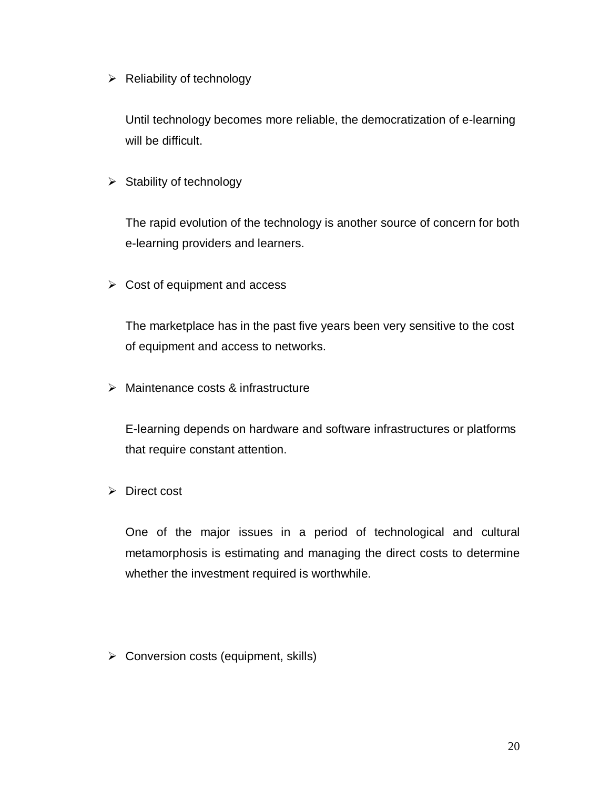$\triangleright$  Reliability of technology

Until technology becomes more reliable, the democratization of e-learning will be difficult.

 $\triangleright$  Stability of technology

The rapid evolution of the technology is another source of concern for both e-learning providers and learners.

 $\triangleright$  Cost of equipment and access

The marketplace has in the past five years been very sensitive to the cost of equipment and access to networks.

> Maintenance costs & infrastructure

E-learning depends on hardware and software infrastructures or platforms that require constant attention.

 $\triangleright$  Direct cost

One of the major issues in a period of technological and cultural metamorphosis is estimating and managing the direct costs to determine whether the investment required is worthwhile.

 $\triangleright$  Conversion costs (equipment, skills)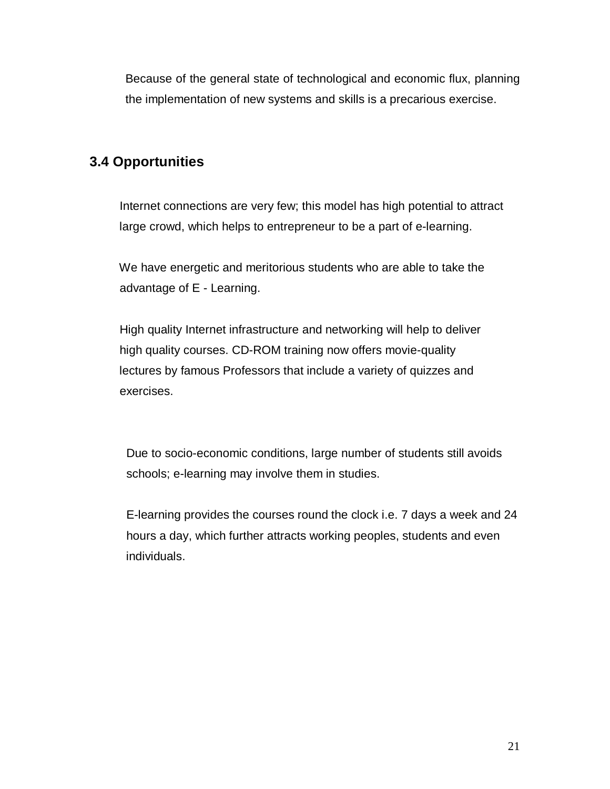Because of the general state of technological and economic flux, planning the implementation of new systems and skills is a precarious exercise.

# **3.4 Opportunities**

 Internet connections are very few; this model has high potential to attract large crowd, which helps to entrepreneur to be a part of e-learning.

 We have energetic and meritorious students who are able to take the advantage of E - Learning.

 High quality Internet infrastructure and networking will help to deliver high quality courses. CD-ROM training now offers movie-quality lectures by famous Professors that include a variety of quizzes and exercises.

 Due to socio-economic conditions, large number of students still avoids schools; e-learning may involve them in studies.

 E-learning provides the courses round the clock i.e. 7 days a week and 24 hours a day, which further attracts working peoples, students and even individuals.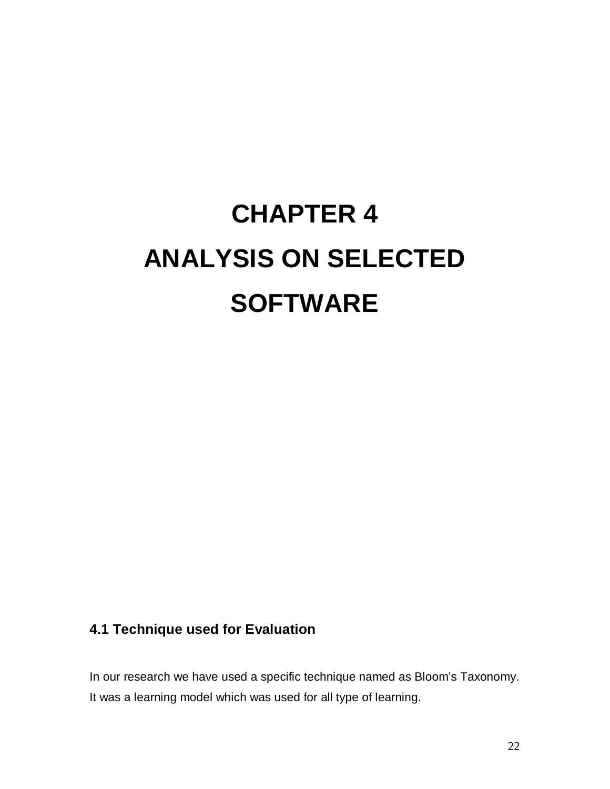# **CHAPTER 4 ANALYSIS ON SELECTED SOFTWARE**

# **4.1 Technique used for Evaluation**

In our research we have used a specific technique named as Bloom's Taxonomy. It was a learning model which was used for all type of learning.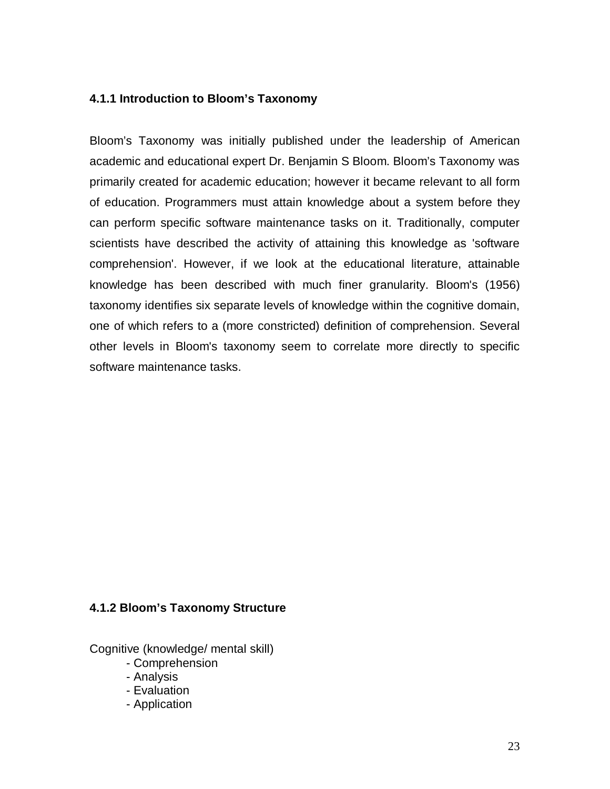#### **4.1.1 Introduction to Bloom's Taxonomy**

Bloom's Taxonomy was initially published under the leadership of American academic and educational expert Dr. Benjamin S Bloom. Bloom's Taxonomy was primarily created for academic education; however it became relevant to all form of education. Programmers must attain knowledge about a system before they can perform specific software maintenance tasks on it. Traditionally, computer scientists have described the activity of attaining this knowledge as 'software comprehension'. However, if we look at the educational literature, attainable knowledge has been described with much finer granularity. Bloom's (1956) taxonomy identifies six separate levels of knowledge within the cognitive domain, one of which refers to a (more constricted) definition of comprehension. Several other levels in Bloom's taxonomy seem to correlate more directly to specific software maintenance tasks.

#### **4.1.2 Bloom's Taxonomy Structure**

Cognitive (knowledge/ mental skill)

- Comprehension
- Analysis
- Evaluation
- Application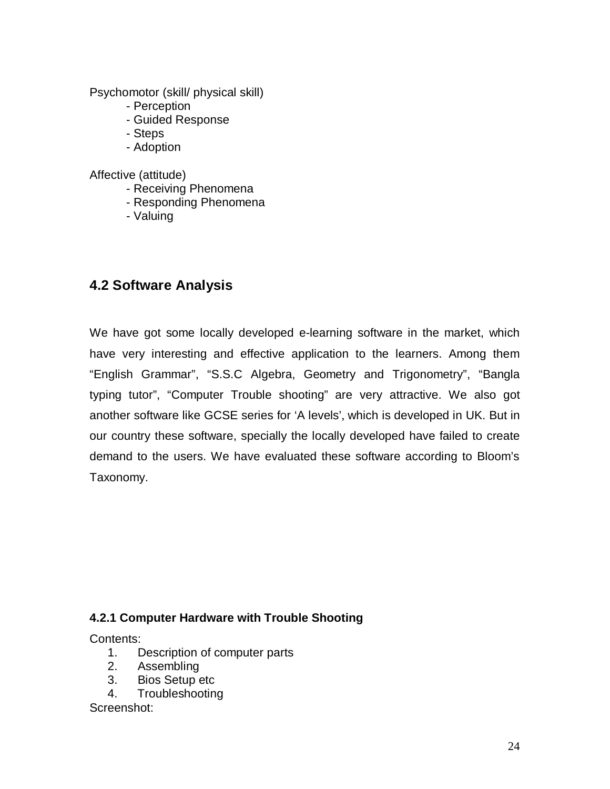Psychomotor (skill/ physical skill)

- Perception
- Guided Response
- Steps
- Adoption

Affective (attitude)

- Receiving Phenomena
- Responding Phenomena
- Valuing

### **4.2 Software Analysis**

We have got some locally developed e-learning software in the market, which have very interesting and effective application to the learners. Among them "English Grammar", "S.S.C Algebra, Geometry and Trigonometry", "Bangla typing tutor", "Computer Trouble shooting" are very attractive. We also got another software like GCSE series for 'A levels', which is developed in UK. But in our country these software, specially the locally developed have failed to create demand to the users. We have evaluated these software according to Bloom's Taxonomy.

#### **4.2.1 Computer Hardware with Trouble Shooting**

Contents:

- 1. Description of computer parts
- 2. Assembling
- 3. Bios Setup etc
- 4. Troubleshooting

Screenshot: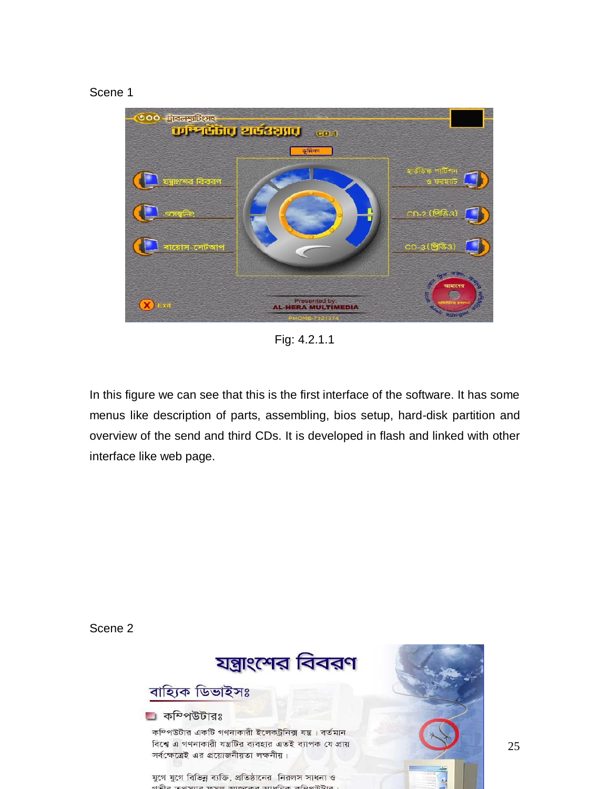#### Scene 1



Fig: 4.2.1.1

In this figure we can see that this is the first interface of the software. It has some menus like description of parts, assembling, bios setup, hard-disk partition and overview of the send and third CDs. It is developed in flash and linked with other interface like web page.

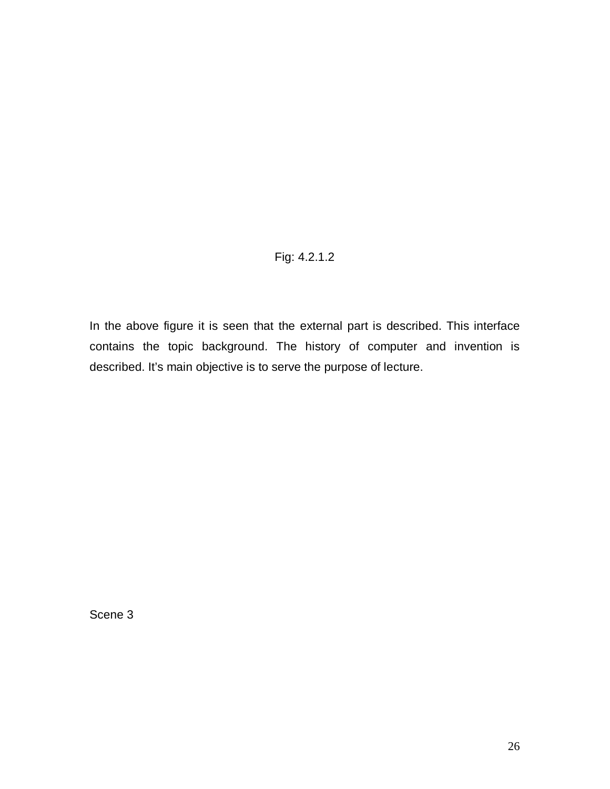#### Fig: 4.2.1.2

In the above figure it is seen that the external part is described. This interface contains the topic background. The history of computer and invention is described. It's main objective is to serve the purpose of lecture.

Scene 3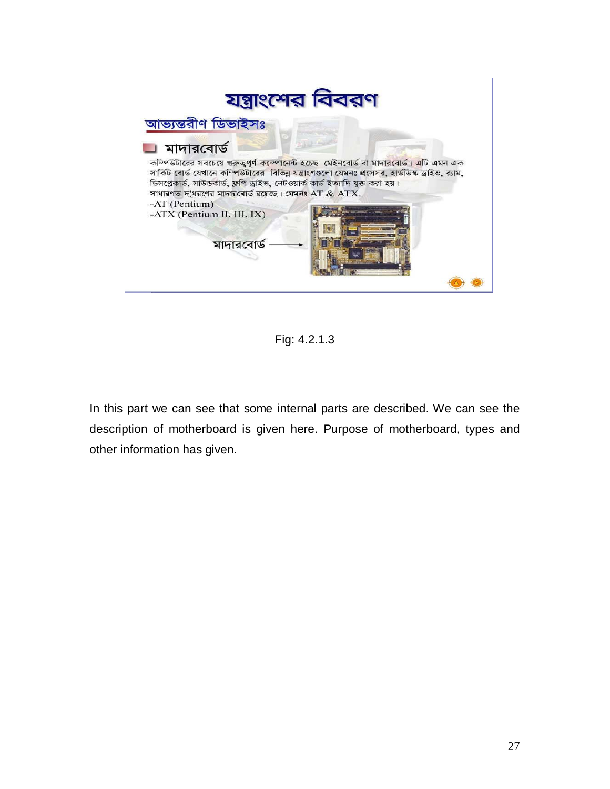

Fig: 4.2.1.3

In this part we can see that some internal parts are described. We can see the description of motherboard is given here. Purpose of motherboard, types and other information has given.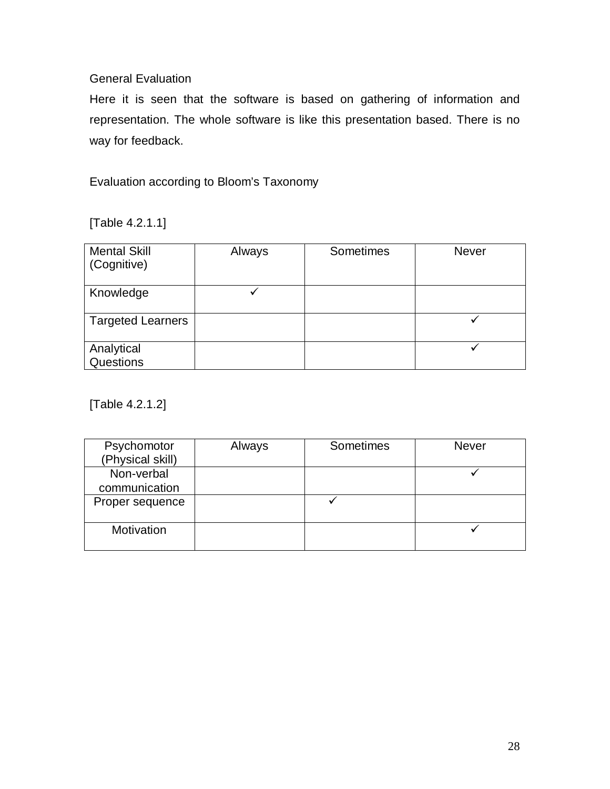#### General Evaluation

Here it is seen that the software is based on gathering of information and representation. The whole software is like this presentation based. There is no way for feedback.

Evaluation according to Bloom's Taxonomy

[Table 4.2.1.1]

| <b>Mental Skill</b><br>(Cognitive) | Always | Sometimes | Never |
|------------------------------------|--------|-----------|-------|
| Knowledge                          |        |           |       |
| <b>Targeted Learners</b>           |        |           |       |
| Analytical<br>Questions            |        |           |       |

[Table 4.2.1.2]

| Psychomotor      | Always | Sometimes | <b>Never</b> |
|------------------|--------|-----------|--------------|
| (Physical skill) |        |           |              |
| Non-verbal       |        |           |              |
| communication    |        |           |              |
| Proper sequence  |        |           |              |
| Motivation       |        |           |              |
|                  |        |           |              |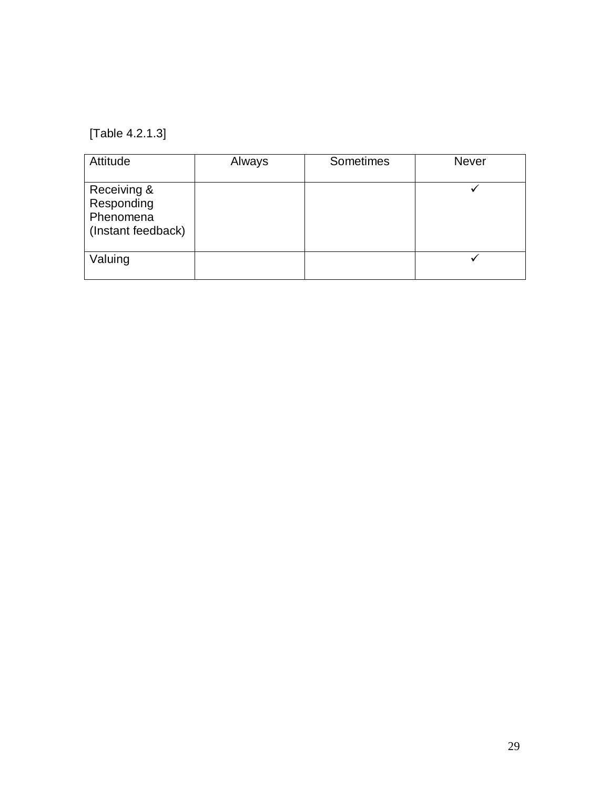[Table 4.2.1.3]

| Attitude                                                     | Always | Sometimes | Never |
|--------------------------------------------------------------|--------|-----------|-------|
| Receiving &<br>Responding<br>Phenomena<br>(Instant feedback) |        |           |       |
| Valuing                                                      |        |           |       |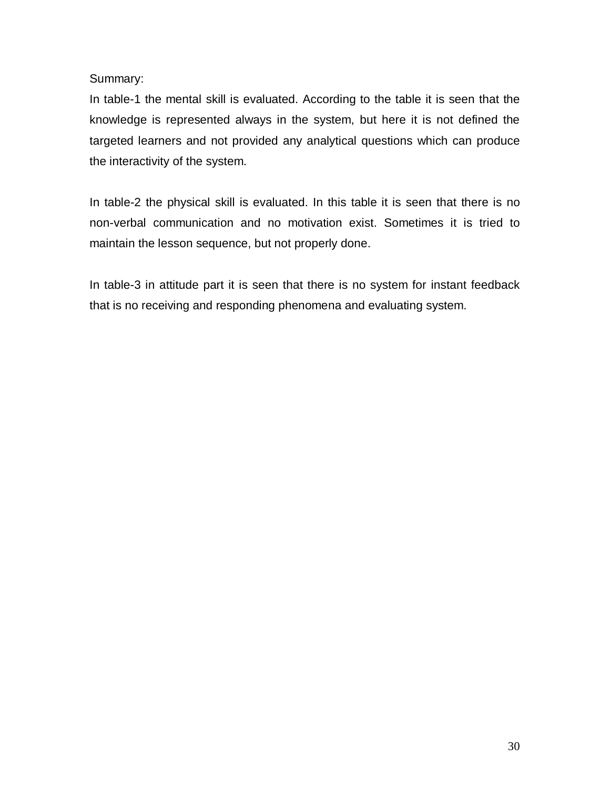Summary:

In table-1 the mental skill is evaluated. According to the table it is seen that the knowledge is represented always in the system, but here it is not defined the targeted learners and not provided any analytical questions which can produce the interactivity of the system.

In table-2 the physical skill is evaluated. In this table it is seen that there is no non-verbal communication and no motivation exist. Sometimes it is tried to maintain the lesson sequence, but not properly done.

In table-3 in attitude part it is seen that there is no system for instant feedback that is no receiving and responding phenomena and evaluating system.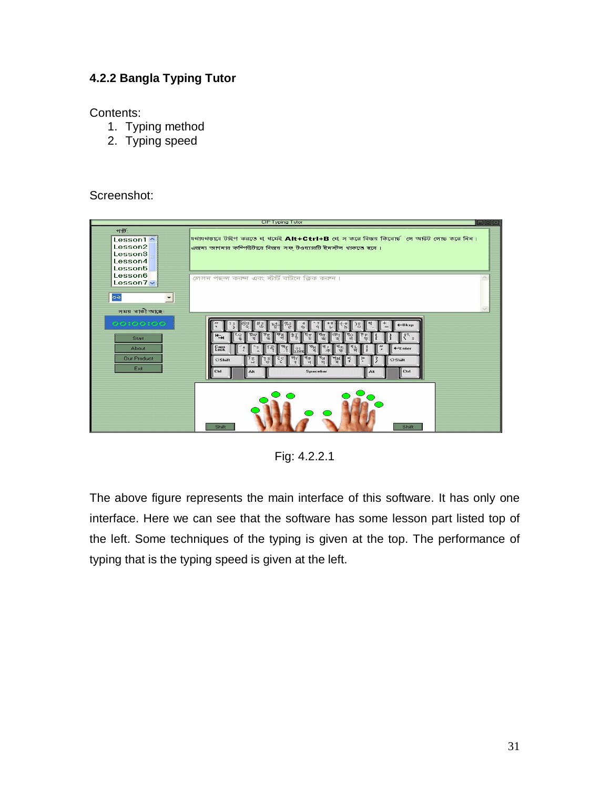#### **4.2.2 Bangla Typing Tutor**

Contents:

- 1. Typing method
- 2. Typing speed

#### Screenshot:



Fig: 4.2.2.1

The above figure represents the main interface of this software. It has only one interface. Here we can see that the software has some lesson part listed top of the left. Some techniques of the typing is given at the top. The performance of typing that is the typing speed is given at the left.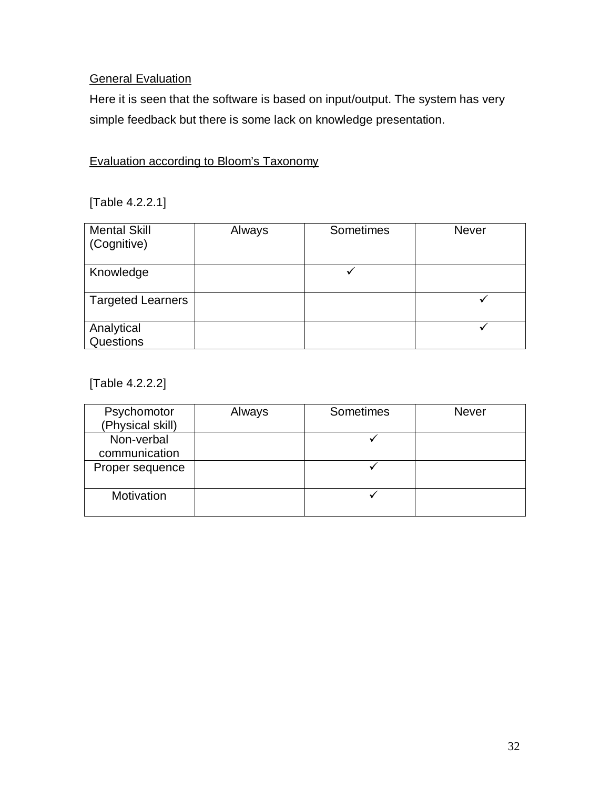### **General Evaluation**

Here it is seen that the software is based on input/output. The system has very simple feedback but there is some lack on knowledge presentation.

### Evaluation according to Bloom's Taxonomy

[Table 4.2.2.1]

| <b>Mental Skill</b><br>(Cognitive) | Always | Sometimes | <b>Never</b> |
|------------------------------------|--------|-----------|--------------|
| Knowledge                          |        |           |              |
| <b>Targeted Learners</b>           |        |           |              |
| Analytical<br>Questions            |        |           |              |

[Table 4.2.2.2]

| Psychomotor<br>(Physical skill) | Always | Sometimes | <b>Never</b> |
|---------------------------------|--------|-----------|--------------|
| Non-verbal                      |        |           |              |
| communication                   |        |           |              |
|                                 |        |           |              |
| Proper sequence                 |        |           |              |
|                                 |        |           |              |
| Motivation                      |        |           |              |
|                                 |        |           |              |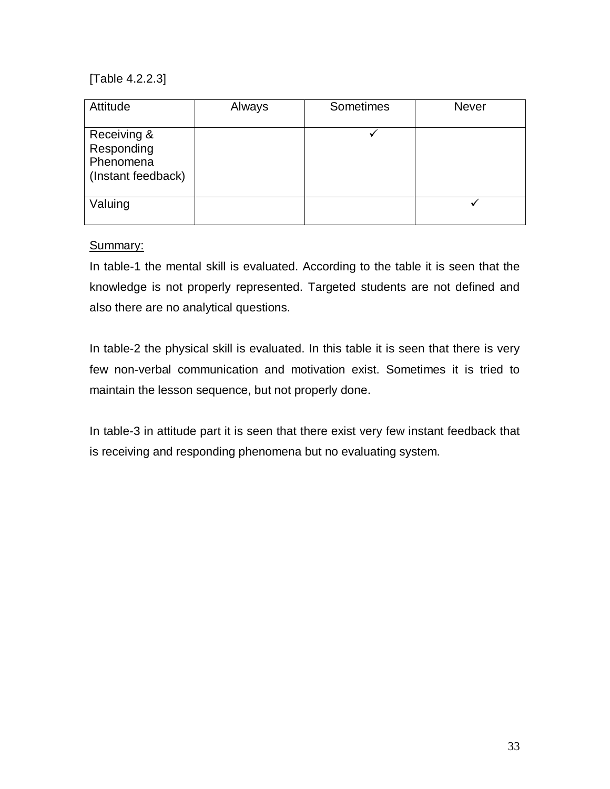[Table 4.2.2.3]

| Attitude                                                     | Always | Sometimes | <b>Never</b> |
|--------------------------------------------------------------|--------|-----------|--------------|
| Receiving &<br>Responding<br>Phenomena<br>(Instant feedback) |        |           |              |
| Valuing                                                      |        |           |              |

Summary:

In table-1 the mental skill is evaluated. According to the table it is seen that the knowledge is not properly represented. Targeted students are not defined and also there are no analytical questions.

In table-2 the physical skill is evaluated. In this table it is seen that there is very few non-verbal communication and motivation exist. Sometimes it is tried to maintain the lesson sequence, but not properly done.

In table-3 in attitude part it is seen that there exist very few instant feedback that is receiving and responding phenomena but no evaluating system.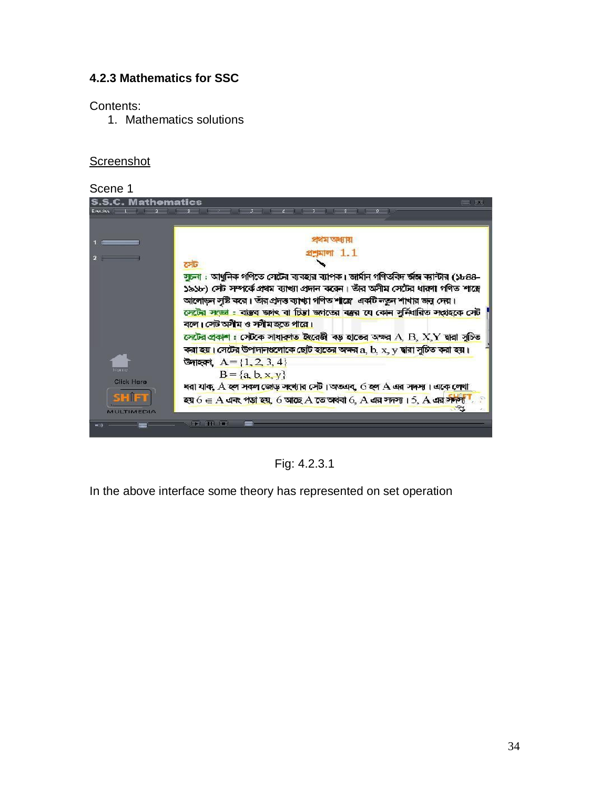#### **4.2.3 Mathematics for SSC**

Contents:

1. Mathematics solutions

### **Screenshot**

| Scene 1                                                                                                                                                                                                                                                                                                                                                                                                                                                                                                                                                          |        |
|------------------------------------------------------------------------------------------------------------------------------------------------------------------------------------------------------------------------------------------------------------------------------------------------------------------------------------------------------------------------------------------------------------------------------------------------------------------------------------------------------------------------------------------------------------------|--------|
| <b>S.S.C. Mathematics</b><br>$1 - 2 - 1 - 3 - 1$<br>医骨下的 医心室病毒 化三氯化物<br>$\sim 9$<br>Everbise                                                                                                                                                                                                                                                                                                                                                                                                                                                                     | $-11X$ |
|                                                                                                                                                                                                                                                                                                                                                                                                                                                                                                                                                                  |        |
| প্ৰথম অধ্যায়                                                                                                                                                                                                                                                                                                                                                                                                                                                                                                                                                    |        |
| $M$ $1.1$                                                                                                                                                                                                                                                                                                                                                                                                                                                                                                                                                        |        |
| সেট                                                                                                                                                                                                                                                                                                                                                                                                                                                                                                                                                              |        |
| সুচনা : আধুনিক গণিতে সেটের ব্যবহার ব্যাপক। জার্মান গণিতবিদ র্জঙ্গ ব্যান্টার (১৮৪৪-<br>১৯১৮) সেট সম্পর্কে প্রথম ব্যাখ্যা প্রদান করেন। তাঁর অসীম সেটের ধারণা গণিত শাস্ত্রে<br>আলোড়ন সুষ্টি করে। তাঁর প্রদত্ত ব্যাখ্যা গণিত শাস্ত্রে একটি নতুন শাখার জন্ন দেয়।<br>লেটের সংজ্ঞা : বাস্তব জগৎ বা চিত্তা জগতের বস্তুর যে কোন সুর্নিধারিত সংগ্রহকে সেট<br>বলে। সেট অসীম ও স্সীম হতে পারে।<br>লেটের প্রকাশ: সেটকে সাধারণত ইংরেজী বড় হাতের অক্ষর A, B, X, Y দ্বারা সূচিত<br>কর <mark>া হয়। সেটের উপাদানগুলোকে ছোট হাতের অক্ষর</mark> a, b, x, y দ্বারা সূচিত করা হয়। |        |
| <b>উদাহরণ, <math>A = \{1, 2, 3, 4\}</math></b>                                                                                                                                                                                                                                                                                                                                                                                                                                                                                                                   |        |
| Наина<br>$B = \{a, b, x, y\}$<br>Click Here                                                                                                                                                                                                                                                                                                                                                                                                                                                                                                                      |        |
| ধরা যাক, $A$ হল সকল জোড় সংখ্যার সেট। অতএব, 6 হল $A$ এর সদস্য। একে লেখা                                                                                                                                                                                                                                                                                                                                                                                                                                                                                          |        |
| <b>SHIET</b><br>হয় $6 \in A$ এবং পড়া হয়, 6 আছে $A$ তে অথবা 6, $A$ এর সদস্য। 5, $A$ এর সদস্য<br>MULTIMEDIA                                                                                                                                                                                                                                                                                                                                                                                                                                                     |        |
|                                                                                                                                                                                                                                                                                                                                                                                                                                                                                                                                                                  |        |

Fig: 4.2.3.1

In the above interface some theory has represented on set operation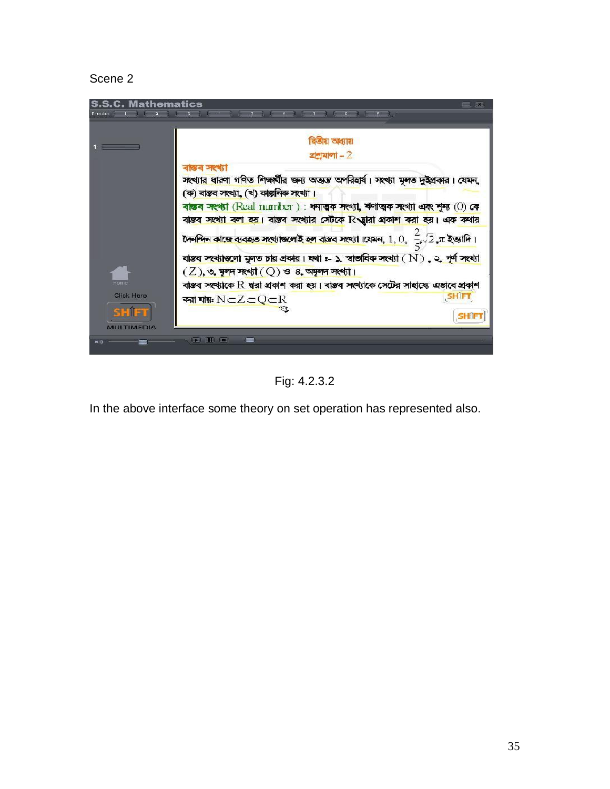#### Scene 2



Fig: 4.2.3.2

In the above interface some theory on set operation has represented also.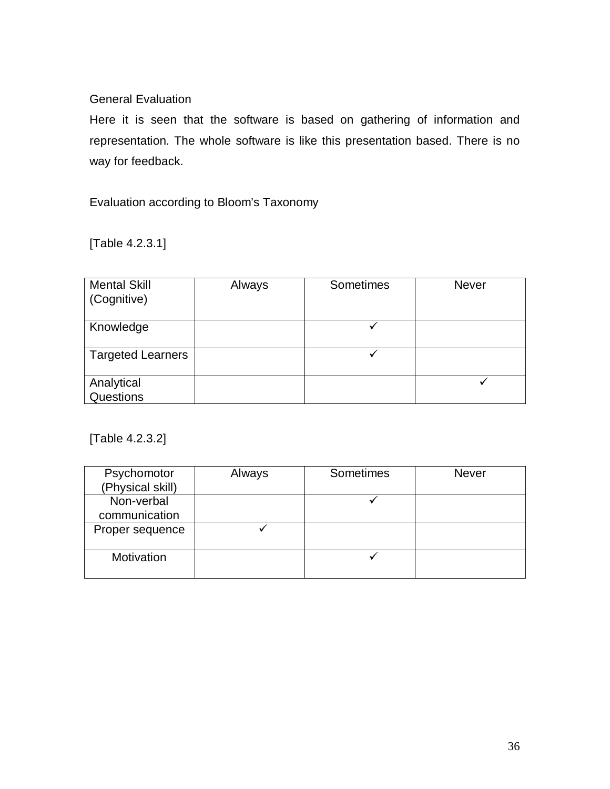#### General Evaluation

Here it is seen that the software is based on gathering of information and representation. The whole software is like this presentation based. There is no way for feedback.

Evaluation according to Bloom's Taxonomy

[Table 4.2.3.1]

| <b>Mental Skill</b><br>(Cognitive) | Always | Sometimes | <b>Never</b> |
|------------------------------------|--------|-----------|--------------|
| Knowledge                          |        |           |              |
| <b>Targeted Learners</b>           |        |           |              |
| Analytical<br>Questions            |        |           |              |

[Table 4.2.3.2]

| Psychomotor      | Always | Sometimes | <b>Never</b> |
|------------------|--------|-----------|--------------|
| (Physical skill) |        |           |              |
| Non-verbal       |        |           |              |
| communication    |        |           |              |
| Proper sequence  |        |           |              |
|                  |        |           |              |
| Motivation       |        |           |              |
|                  |        |           |              |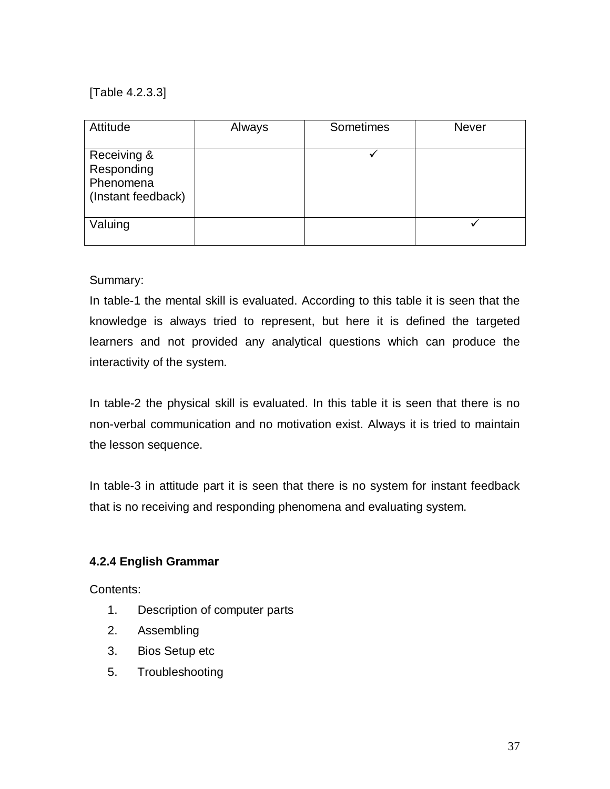[Table 4.2.3.3]

| Attitude                                                     | Always | Sometimes | <b>Never</b> |
|--------------------------------------------------------------|--------|-----------|--------------|
| Receiving &<br>Responding<br>Phenomena<br>(Instant feedback) |        |           |              |
| Valuing                                                      |        |           |              |

#### Summary:

In table-1 the mental skill is evaluated. According to this table it is seen that the knowledge is always tried to represent, but here it is defined the targeted learners and not provided any analytical questions which can produce the interactivity of the system.

In table-2 the physical skill is evaluated. In this table it is seen that there is no non-verbal communication and no motivation exist. Always it is tried to maintain the lesson sequence.

In table-3 in attitude part it is seen that there is no system for instant feedback that is no receiving and responding phenomena and evaluating system.

#### **4.2.4 English Grammar**

Contents:

- 1. Description of computer parts
- 2. Assembling
- 3. Bios Setup etc
- 5. Troubleshooting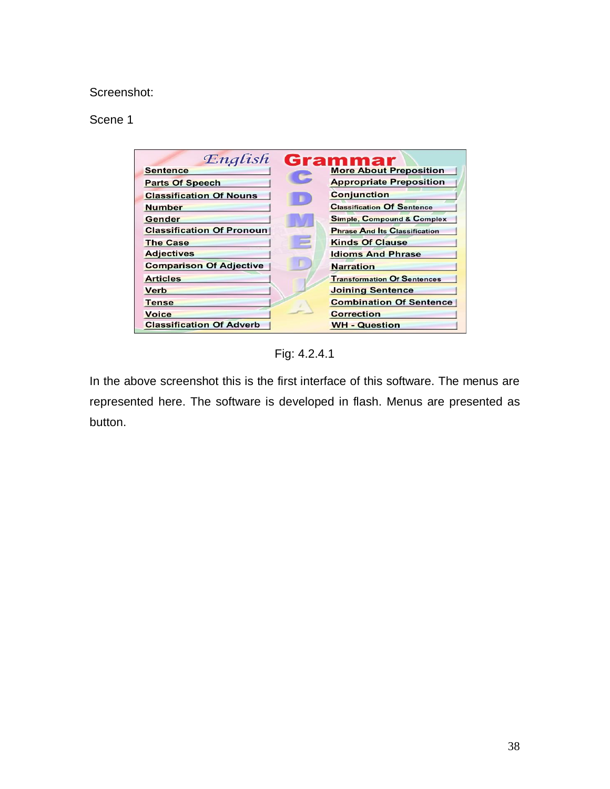#### Screenshot:

#### Scene 1

| English                          | <b>Grammar</b>                        |
|----------------------------------|---------------------------------------|
| <b>Sentence</b>                  | <b>More About Preposition</b>         |
| <b>Parts Of Speech</b>           | <b>Appropriate Preposition</b>        |
| <b>Classification Of Nouns</b>   | <b>Conjunction</b>                    |
| <b>Number</b>                    | <b>Classification Of Sentence</b>     |
| Gender                           | <b>Simple, Compound &amp; Complex</b> |
| <b>Classification Of Pronoun</b> | <b>Phrase And Its Classification</b>  |
| <b>The Case</b>                  | <b>Kinds Of Clause</b>                |
| <b>Adjectives</b>                | <b>Idioms And Phrase</b>              |
| <b>Comparison Of Adjective</b>   | <b>Narration</b>                      |
| <b>Articles</b>                  | <b>Transformation Of Sentences</b>    |
| <b>Verb</b>                      | <b>Joining Sentence</b>               |
| <b>Tense</b>                     | <b>Combination Of Sentence</b>        |
| <b>Voice</b>                     | <b>Correction</b>                     |
| <b>Classification Of Adverb</b>  | <b>WH - Question</b>                  |

Fig: 4.2.4.1

In the above screenshot this is the first interface of this software. The menus are represented here. The software is developed in flash. Menus are presented as button.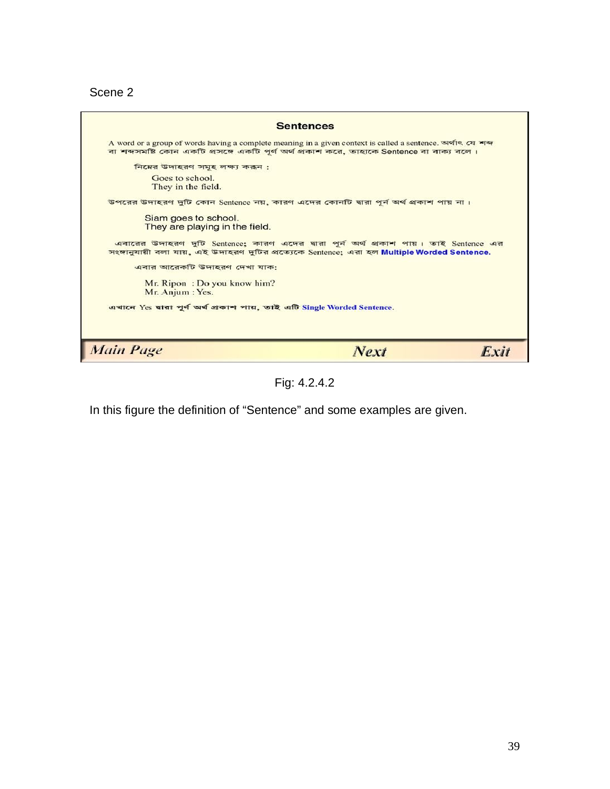Scene 2



Fig: 4.2.4.2

In this figure the definition of "Sentence" and some examples are given.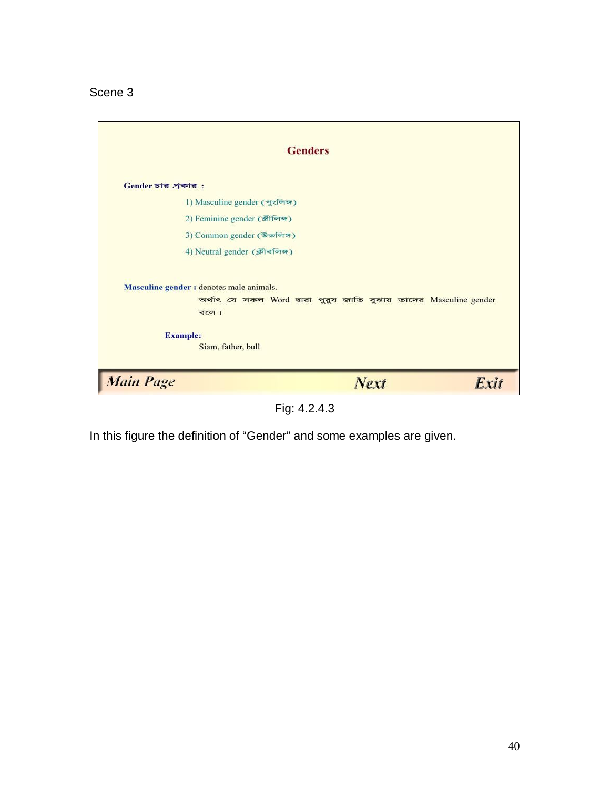Scene 3

|                                                                                           | <b>Genders</b>                                                     |      |
|-------------------------------------------------------------------------------------------|--------------------------------------------------------------------|------|
| Gender চার প্রকার:                                                                        |                                                                    |      |
| 1) Masculine gender (পুংলিন্স)                                                            |                                                                    |      |
| 2) Feminine gender (जीनिक)                                                                |                                                                    |      |
| 3) Common gender (উভলিঙ্গ)                                                                |                                                                    |      |
| 4) Neutral gender (क्रीवलिन्न)                                                            |                                                                    |      |
| Masculine gender : denotes male animals.<br>বলে।<br><b>Example:</b><br>Siam, father, bull | অৰ্থাৎ যে সকল Word দ্বারা পুরুষ জাতি বুঝায় তাদের Masculine gender |      |
| <b>Main Page</b>                                                                          | <b>Next</b>                                                        | Exit |

Fig: 4.2.4.3

In this figure the definition of "Gender" and some examples are given.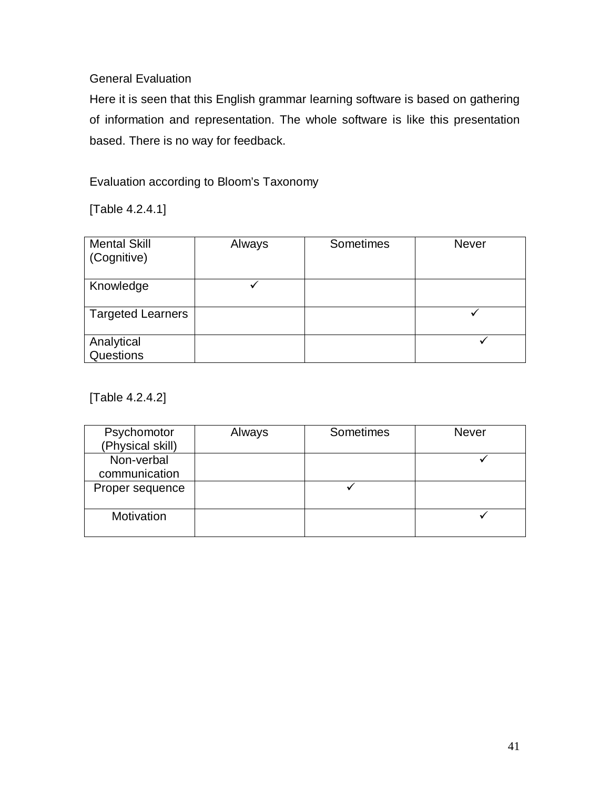### General Evaluation

Here it is seen that this English grammar learning software is based on gathering of information and representation. The whole software is like this presentation based. There is no way for feedback.

Evaluation according to Bloom's Taxonomy

[Table 4.2.4.1]

| <b>Mental Skill</b><br>(Cognitive) | Always | Sometimes | <b>Never</b> |
|------------------------------------|--------|-----------|--------------|
| Knowledge                          |        |           |              |
| <b>Targeted Learners</b>           |        |           |              |
| Analytical<br>Questions            |        |           |              |

[Table 4.2.4.2]

| Psychomotor<br>(Physical skill) | Always | Sometimes | <b>Never</b> |
|---------------------------------|--------|-----------|--------------|
| Non-verbal<br>communication     |        |           |              |
| Proper sequence                 |        |           |              |
| Motivation                      |        |           |              |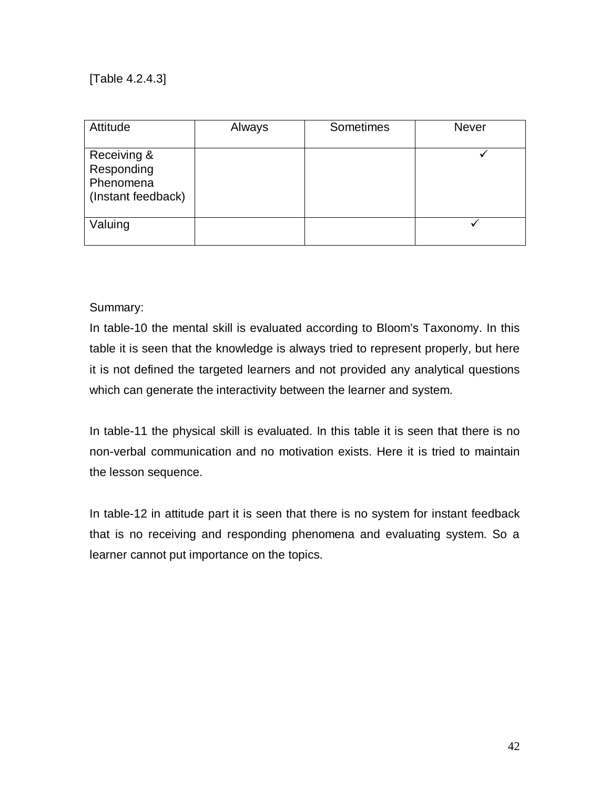[Table 4.2.4.3]

| Attitude                                                     | Always | Sometimes | <b>Never</b> |
|--------------------------------------------------------------|--------|-----------|--------------|
| Receiving &<br>Responding<br>Phenomena<br>(Instant feedback) |        |           |              |
| Valuing                                                      |        |           |              |

#### Summary:

In table-10 the mental skill is evaluated according to Bloom's Taxonomy. In this table it is seen that the knowledge is always tried to represent properly, but here it is not defined the targeted learners and not provided any analytical questions which can generate the interactivity between the learner and system.

In table-11 the physical skill is evaluated. In this table it is seen that there is no non-verbal communication and no motivation exists. Here it is tried to maintain the lesson sequence.

In table-12 in attitude part it is seen that there is no system for instant feedback that is no receiving and responding phenomena and evaluating system. So a learner cannot put importance on the topics.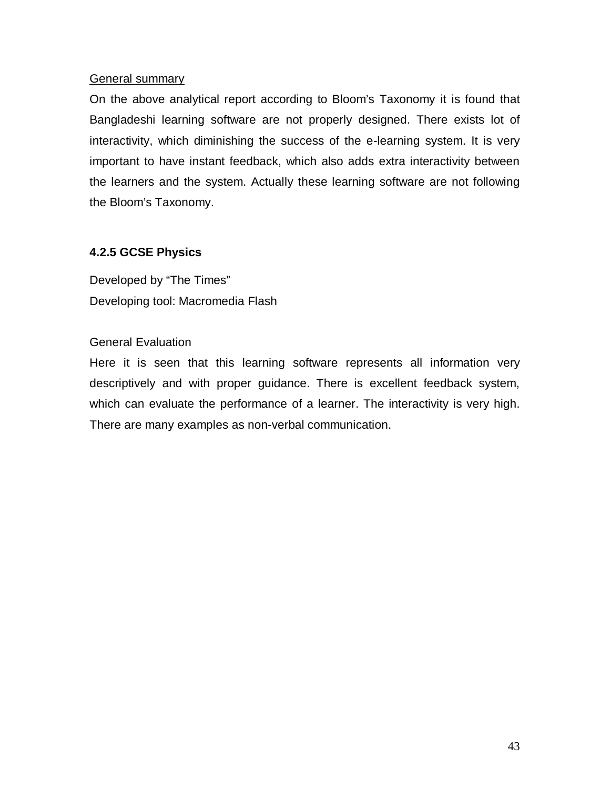#### General summary

On the above analytical report according to Bloom's Taxonomy it is found that Bangladeshi learning software are not properly designed. There exists lot of interactivity, which diminishing the success of the e-learning system. It is very important to have instant feedback, which also adds extra interactivity between the learners and the system. Actually these learning software are not following the Bloom's Taxonomy.

#### **4.2.5 GCSE Physics**

Developed by "The Times" Developing tool: Macromedia Flash

#### General Evaluation

Here it is seen that this learning software represents all information very descriptively and with proper guidance. There is excellent feedback system, which can evaluate the performance of a learner. The interactivity is very high. There are many examples as non-verbal communication.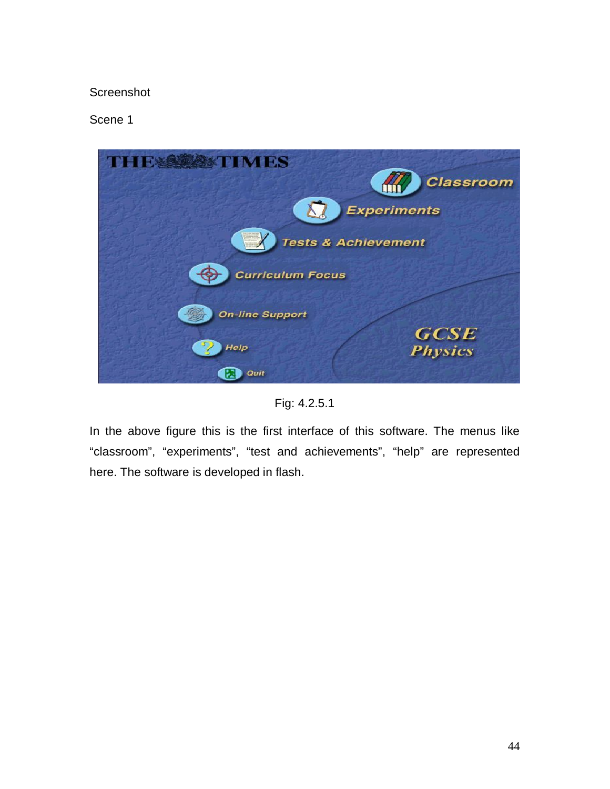#### Screenshot

Scene 1



Fig: 4.2.5.1

In the above figure this is the first interface of this software. The menus like "classroom", "experiments", "test and achievements", "help" are represented here. The software is developed in flash.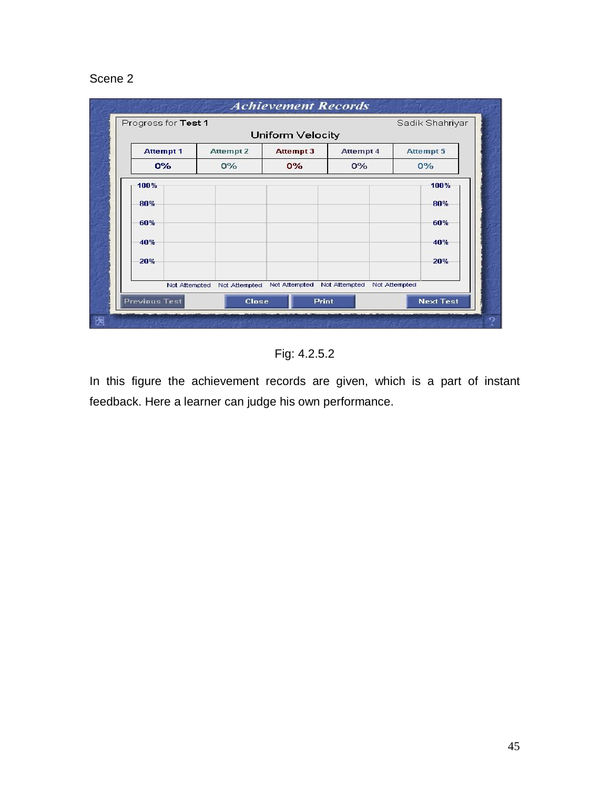#### Scene 2

| Progress for Test 1  |                                | Uniform Velocity |               |               |                  |
|----------------------|--------------------------------|------------------|---------------|---------------|------------------|
| <b>Attempt 1</b>     | Attempt 2                      | <b>Attempt 3</b> | Attempt 4     |               | Attempt 5        |
| 0%                   | $0\%$                          | $0\%$            | $0\%$         |               | $0\%$            |
| 100%                 |                                |                  |               |               | 100%             |
| 80%                  |                                |                  |               |               | 80%              |
| 60%                  |                                |                  |               |               | 60%              |
| 40%                  |                                |                  |               |               | 40%              |
| 20%                  |                                |                  |               |               | 20%              |
|                      | Not Attempted<br>Not Attempted | Not Attempted    | Not Attempted | Not Attempted |                  |
| <b>Previous Test</b> |                                | <b>Close</b>     | <b>Print</b>  |               | <b>Next Test</b> |

Fig: 4.2.5.2

In this figure the achievement records are given, which is a part of instant feedback. Here a learner can judge his own performance.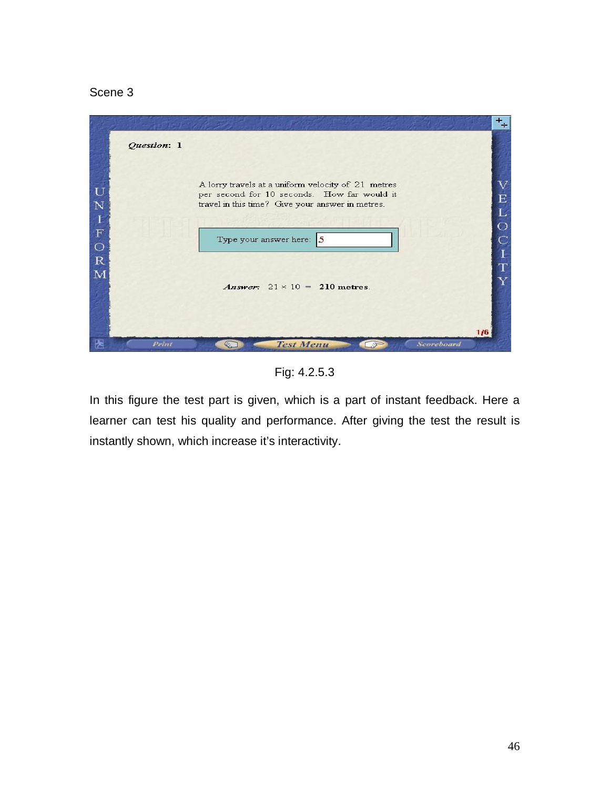#### Scene 3



Fig: 4.2.5.3

In this figure the test part is given, which is a part of instant feedback. Here a learner can test his quality and performance. After giving the test the result is instantly shown, which increase it's interactivity.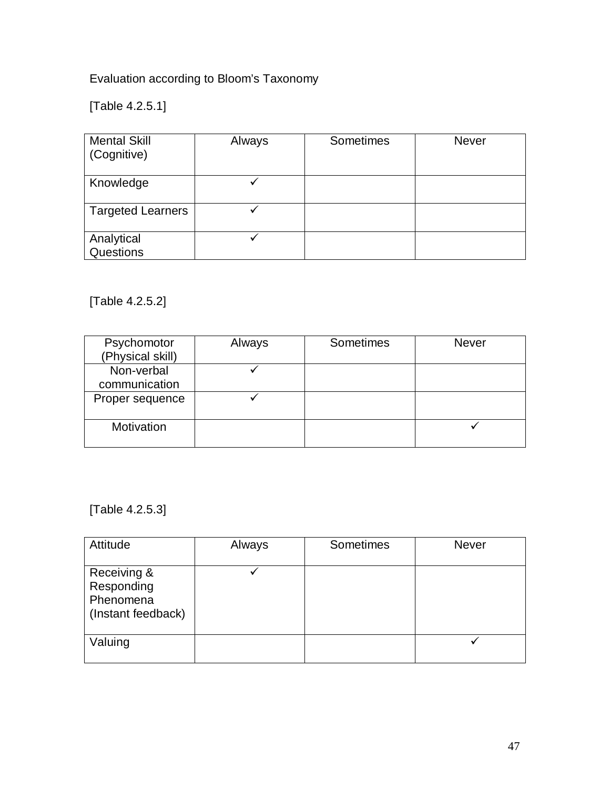Evaluation according to Bloom's Taxonomy

[Table 4.2.5.1]

| <b>Mental Skill</b><br>(Cognitive) | Always | Sometimes | <b>Never</b> |
|------------------------------------|--------|-----------|--------------|
| Knowledge                          |        |           |              |
| <b>Targeted Learners</b>           |        |           |              |
| Analytical<br>Questions            |        |           |              |

[Table 4.2.5.2]

| Psychomotor<br>(Physical skill) | Always | Sometimes | <b>Never</b> |
|---------------------------------|--------|-----------|--------------|
| Non-verbal<br>communication     |        |           |              |
| Proper sequence                 |        |           |              |
| Motivation                      |        |           |              |

[Table 4.2.5.3]

| Attitude                                                     | Always | Sometimes | <b>Never</b> |
|--------------------------------------------------------------|--------|-----------|--------------|
| Receiving &<br>Responding<br>Phenomena<br>(Instant feedback) | ✔      |           |              |
| Valuing                                                      |        |           |              |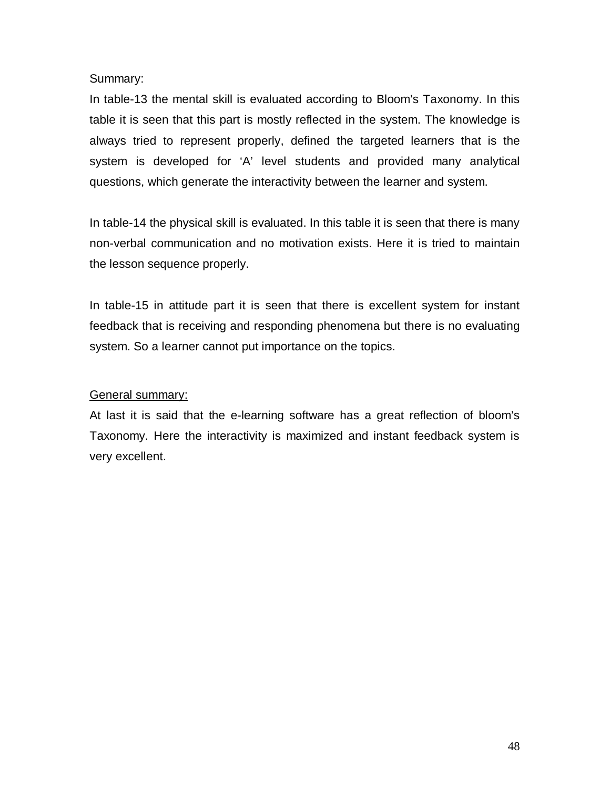#### Summary:

In table-13 the mental skill is evaluated according to Bloom's Taxonomy. In this table it is seen that this part is mostly reflected in the system. The knowledge is always tried to represent properly, defined the targeted learners that is the system is developed for 'A' level students and provided many analytical questions, which generate the interactivity between the learner and system.

In table-14 the physical skill is evaluated. In this table it is seen that there is many non-verbal communication and no motivation exists. Here it is tried to maintain the lesson sequence properly.

In table-15 in attitude part it is seen that there is excellent system for instant feedback that is receiving and responding phenomena but there is no evaluating system. So a learner cannot put importance on the topics.

#### General summary:

At last it is said that the e-learning software has a great reflection of bloom's Taxonomy. Here the interactivity is maximized and instant feedback system is very excellent.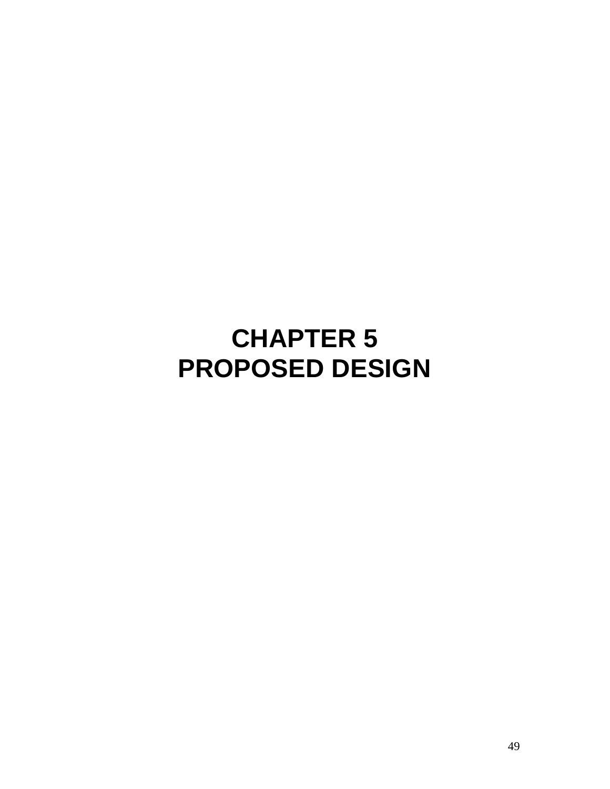# **CHAPTER 5 PROPOSED DESIGN**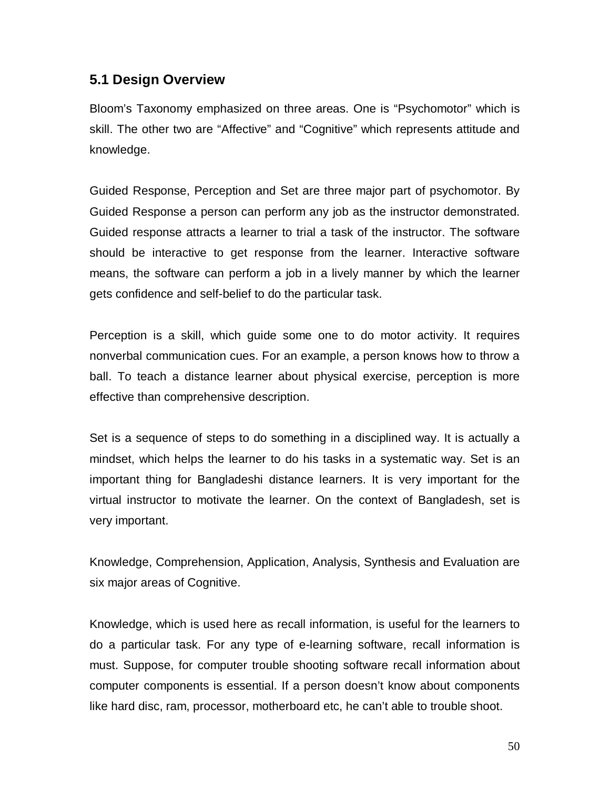#### **5.1 Design Overview**

Bloom's Taxonomy emphasized on three areas. One is "Psychomotor" which is skill. The other two are "Affective" and "Cognitive" which represents attitude and knowledge.

Guided Response, Perception and Set are three major part of psychomotor. By Guided Response a person can perform any job as the instructor demonstrated. Guided response attracts a learner to trial a task of the instructor. The software should be interactive to get response from the learner. Interactive software means, the software can perform a job in a lively manner by which the learner gets confidence and self-belief to do the particular task.

Perception is a skill, which guide some one to do motor activity. It requires nonverbal communication cues. For an example, a person knows how to throw a ball. To teach a distance learner about physical exercise, perception is more effective than comprehensive description.

Set is a sequence of steps to do something in a disciplined way. It is actually a mindset, which helps the learner to do his tasks in a systematic way. Set is an important thing for Bangladeshi distance learners. It is very important for the virtual instructor to motivate the learner. On the context of Bangladesh, set is very important.

Knowledge, Comprehension, Application, Analysis, Synthesis and Evaluation are six major areas of Cognitive.

Knowledge, which is used here as recall information, is useful for the learners to do a particular task. For any type of e-learning software, recall information is must. Suppose, for computer trouble shooting software recall information about computer components is essential. If a person doesn't know about components like hard disc, ram, processor, motherboard etc, he can't able to trouble shoot.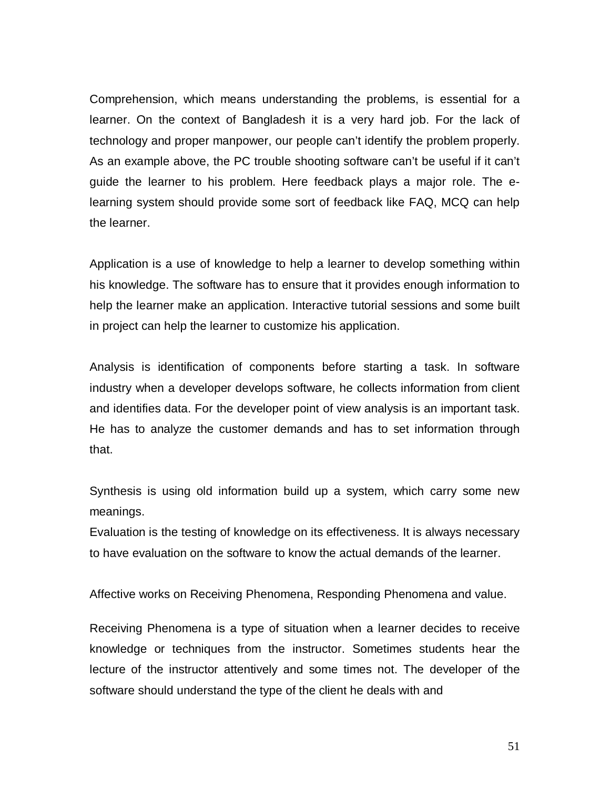Comprehension, which means understanding the problems, is essential for a learner. On the context of Bangladesh it is a very hard job. For the lack of technology and proper manpower, our people can't identify the problem properly. As an example above, the PC trouble shooting software can't be useful if it can't guide the learner to his problem. Here feedback plays a major role. The elearning system should provide some sort of feedback like FAQ, MCQ can help the learner.

Application is a use of knowledge to help a learner to develop something within his knowledge. The software has to ensure that it provides enough information to help the learner make an application. Interactive tutorial sessions and some built in project can help the learner to customize his application.

Analysis is identification of components before starting a task. In software industry when a developer develops software, he collects information from client and identifies data. For the developer point of view analysis is an important task. He has to analyze the customer demands and has to set information through that.

Synthesis is using old information build up a system, which carry some new meanings.

Evaluation is the testing of knowledge on its effectiveness. It is always necessary to have evaluation on the software to know the actual demands of the learner.

Affective works on Receiving Phenomena, Responding Phenomena and value.

Receiving Phenomena is a type of situation when a learner decides to receive knowledge or techniques from the instructor. Sometimes students hear the lecture of the instructor attentively and some times not. The developer of the software should understand the type of the client he deals with and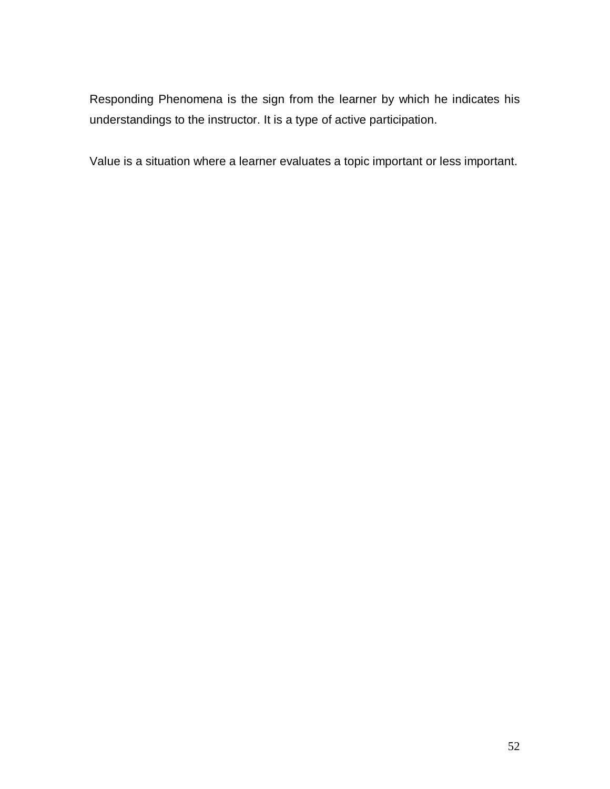Responding Phenomena is the sign from the learner by which he indicates his understandings to the instructor. It is a type of active participation.

Value is a situation where a learner evaluates a topic important or less important.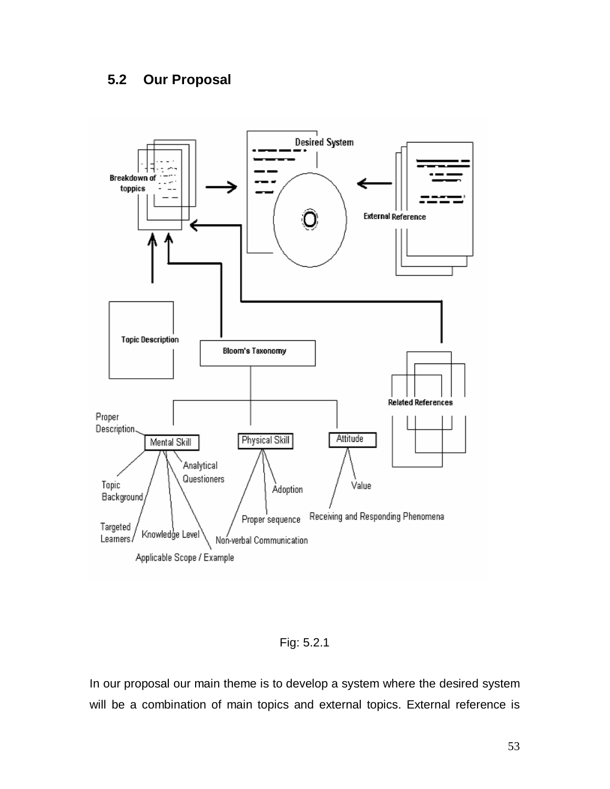# **5.2 Our Proposal**



Fig: 5.2.1

In our proposal our main theme is to develop a system where the desired system will be a combination of main topics and external topics. External reference is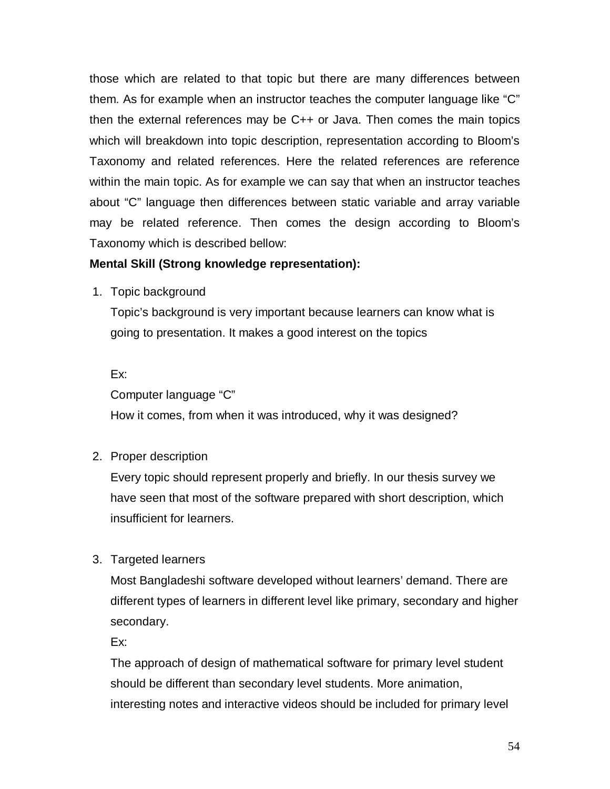those which are related to that topic but there are many differences between them. As for example when an instructor teaches the computer language like "C" then the external references may be C++ or Java. Then comes the main topics which will breakdown into topic description, representation according to Bloom's Taxonomy and related references. Here the related references are reference within the main topic. As for example we can say that when an instructor teaches about "C" language then differences between static variable and array variable may be related reference. Then comes the design according to Bloom's Taxonomy which is described bellow:

#### **Mental Skill (Strong knowledge representation):**

1. Topic background

Topic's background is very important because learners can know what is going to presentation. It makes a good interest on the topics

Ex:

Computer language "C"

How it comes, from when it was introduced, why it was designed?

2. Proper description

Every topic should represent properly and briefly. In our thesis survey we have seen that most of the software prepared with short description, which insufficient for learners.

3. Targeted learners

Most Bangladeshi software developed without learners' demand. There are different types of learners in different level like primary, secondary and higher secondary.

Ex:

The approach of design of mathematical software for primary level student should be different than secondary level students. More animation, interesting notes and interactive videos should be included for primary level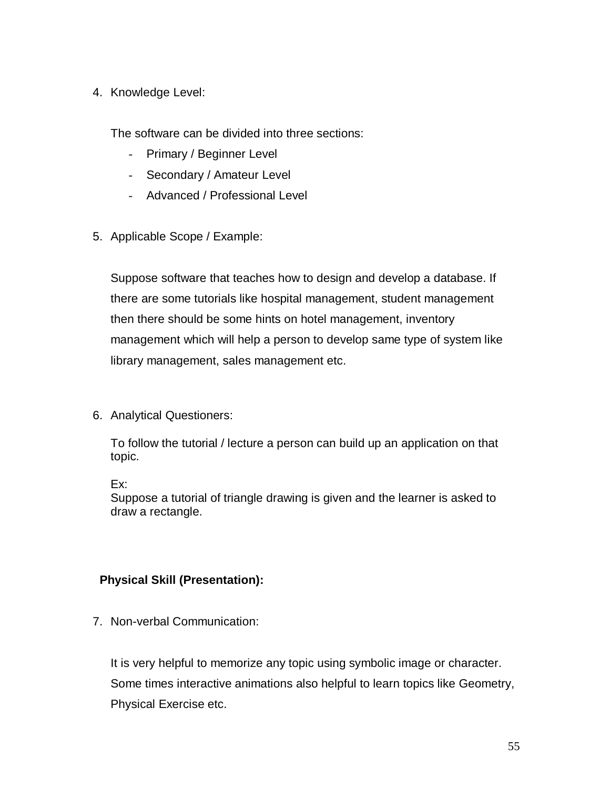#### 4. Knowledge Level:

The software can be divided into three sections:

- Primary / Beginner Level
- Secondary / Amateur Level
- Advanced / Professional Level
- 5. Applicable Scope / Example:

Suppose software that teaches how to design and develop a database. If there are some tutorials like hospital management, student management then there should be some hints on hotel management, inventory management which will help a person to develop same type of system like library management, sales management etc.

6. Analytical Questioners:

To follow the tutorial / lecture a person can build up an application on that topic.

Ex:

Suppose a tutorial of triangle drawing is given and the learner is asked to draw a rectangle.

#### **Physical Skill (Presentation):**

7. Non-verbal Communication:

It is very helpful to memorize any topic using symbolic image or character. Some times interactive animations also helpful to learn topics like Geometry, Physical Exercise etc.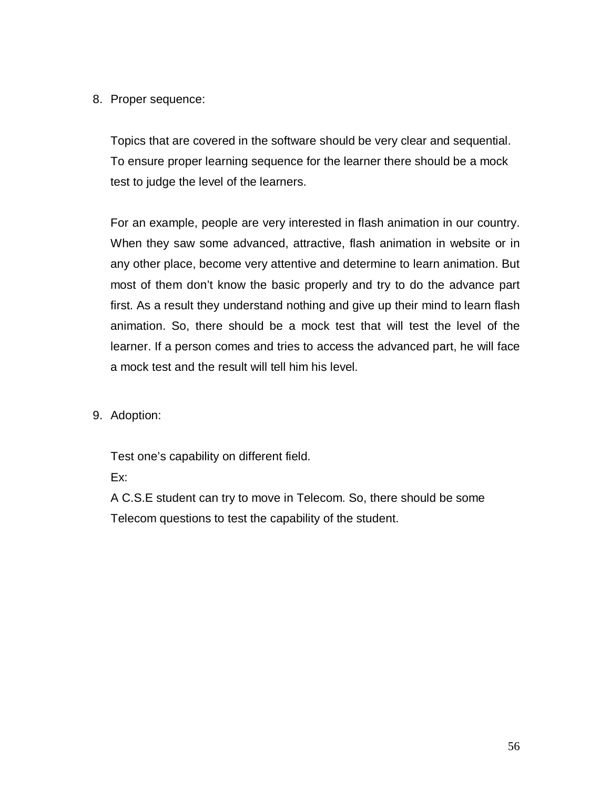#### 8. Proper sequence:

Topics that are covered in the software should be very clear and sequential. To ensure proper learning sequence for the learner there should be a mock test to judge the level of the learners.

For an example, people are very interested in flash animation in our country. When they saw some advanced, attractive, flash animation in website or in any other place, become very attentive and determine to learn animation. But most of them don't know the basic properly and try to do the advance part first. As a result they understand nothing and give up their mind to learn flash animation. So, there should be a mock test that will test the level of the learner. If a person comes and tries to access the advanced part, he will face a mock test and the result will tell him his level.

9. Adoption:

Test one's capability on different field.

Ex:

A C.S.E student can try to move in Telecom. So, there should be some Telecom questions to test the capability of the student.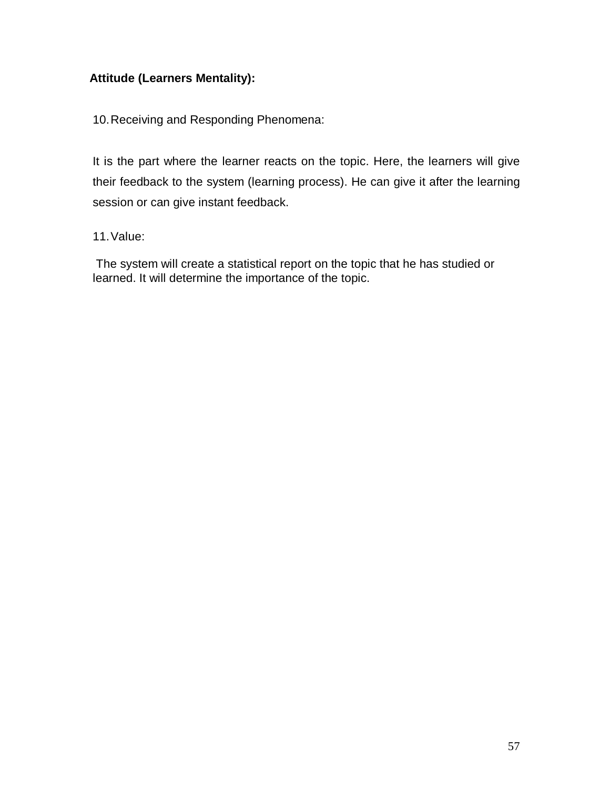#### **Attitude (Learners Mentality):**

10.Receiving and Responding Phenomena:

It is the part where the learner reacts on the topic. Here, the learners will give their feedback to the system (learning process). He can give it after the learning session or can give instant feedback.

11.Value:

 The system will create a statistical report on the topic that he has studied or learned. It will determine the importance of the topic.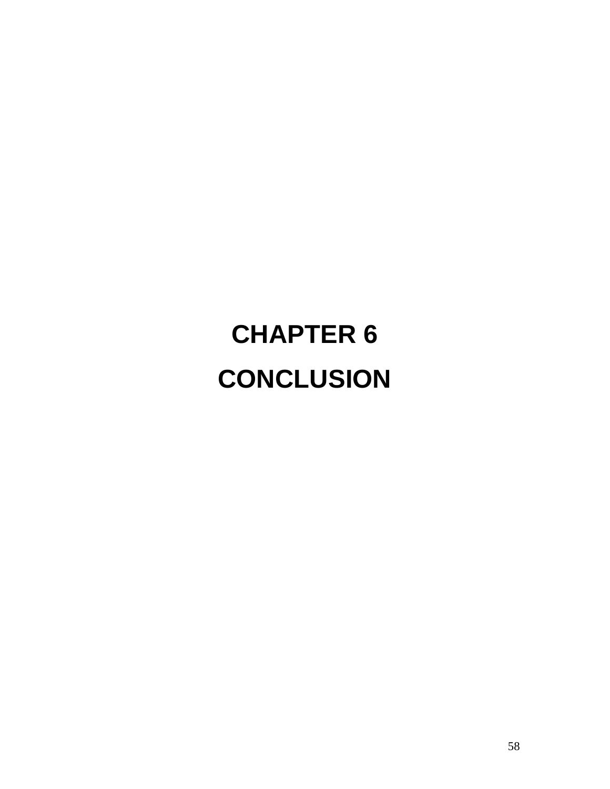# **CHAPTER 6 CONCLUSION**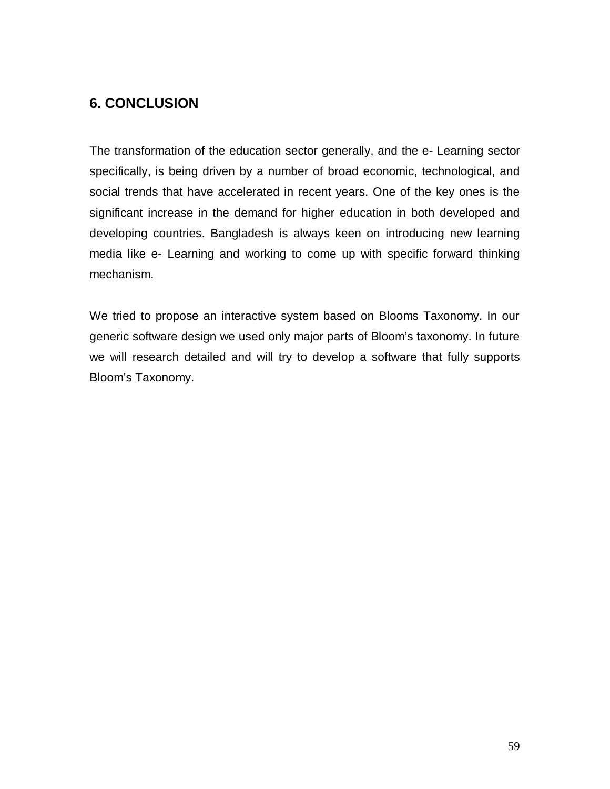# **6. CONCLUSION**

The transformation of the education sector generally, and the e- Learning sector specifically, is being driven by a number of broad economic, technological, and social trends that have accelerated in recent years. One of the key ones is the significant increase in the demand for higher education in both developed and developing countries. Bangladesh is always keen on introducing new learning media like e- Learning and working to come up with specific forward thinking mechanism.

We tried to propose an interactive system based on Blooms Taxonomy. In our generic software design we used only major parts of Bloom's taxonomy. In future we will research detailed and will try to develop a software that fully supports Bloom's Taxonomy.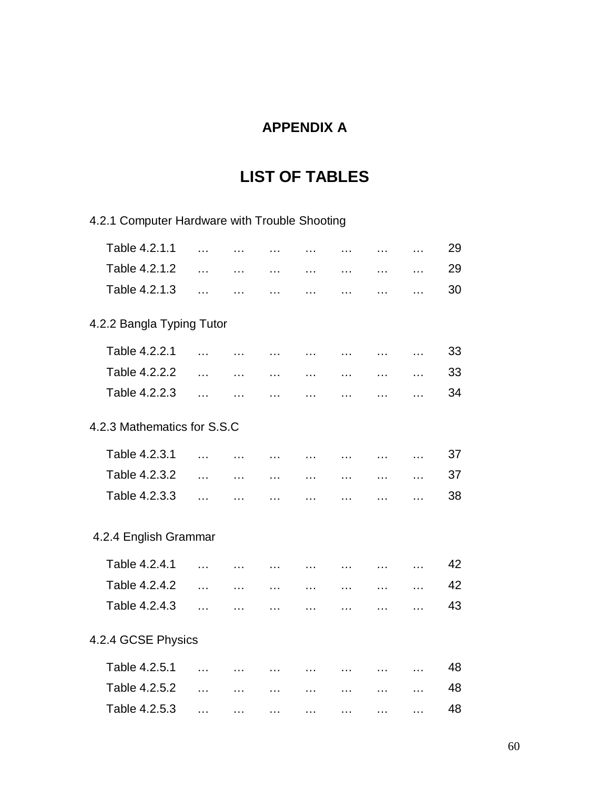# **APPENDIX A**

# **LIST OF TABLES**

| 4.2.1 Computer Hardware with Trouble Shooting |           |                                         |                                                                                                                 |                                |                                   |               |                                       |    |
|-----------------------------------------------|-----------|-----------------------------------------|-----------------------------------------------------------------------------------------------------------------|--------------------------------|-----------------------------------|---------------|---------------------------------------|----|
| Table 4.2.1.1                                 | $\ddotsc$ | $\sim$ . $\sim$                         | $\ddotsc$                                                                                                       | $\sim 100$                     |                                   | and the state | <b>Contract Contract</b>              | 29 |
| Table 4.2.1.2                                 | $\ddotsc$ | $\sim$                                  | $\ddotsc$                                                                                                       | $\ddotsc$                      | $\ddotsc$                         | $\cdots$      | $\sim$ $\sim$ $\sim$                  | 29 |
| Table 4.2.1.3                                 | $\cdots$  | $\sim$ 100 $\mu$                        | $\ddotsc$                                                                                                       | $\sim$ $\sim$ $\sim$           | $\sim$ $\sim$ $\sim$ $\sim$       | $\cdots$      | $\ddotsc$                             | 30 |
| 4.2.2 Bangla Typing Tutor                     |           |                                         |                                                                                                                 |                                |                                   |               |                                       |    |
| Table 4.2.2.1                                 | $\ddotsc$ |                                         | and the same of the same of the same of the                                                                     |                                |                                   |               | <b>Contract Contract</b>              | 33 |
| Table 4.2.2.2                                 | $\ddotsc$ | $\sim$ $\sim$ $\sim$                    | $\sim$ . $\sim$                                                                                                 | <b><i>Committee States</i></b> | $\sim$ $\sim$ $\sim$              |               | <b><i>Print</i></b> 2007 <b>Print</b> | 33 |
| Table 4.2.2.3                                 | $\ddotsc$ | $\sim 100$ and $\sim 100$               | $\sim$ $\sim$ $\sim$ $\sim$                                                                                     | <b><i>Committee States</i></b> | <b>Contract Contract</b>          | $\ddotsc$     | <b>Contract Contract</b>              | 34 |
| 4.2.3 Mathematics for S.S.C                   |           |                                         |                                                                                                                 |                                |                                   |               |                                       |    |
| Table 4.2.3.1                                 | $\ddotsc$ | $\ddotsc$                               | $\sim$ 100 $\sim$ 100 $\sim$                                                                                    | $\ldots$                       | and the con-                      | $\cdots$      | $\sim 100$ and $\sim 100$             | 37 |
| Table 4.2.3.2                                 | $\ddotsc$ | $\ddotsc$                               | $\cdots$                                                                                                        | $\cdots$                       | $\ddotsc$                         | $\cdots$      | $\ddotsc$                             | 37 |
| Table 4.2.3.3                                 | $\ddotsc$ | $\ddotsc$                               | $\ddotsc$                                                                                                       | $\cdots$                       | $\ddotsc$                         | $\cdots$      | $\ddotsc$                             | 38 |
| 4.2.4 English Grammar                         |           |                                         |                                                                                                                 |                                |                                   |               |                                       |    |
| Table 4.2.4.1                                 | $\ddotsc$ |                                         | the company of the company of the company of the                                                                |                                |                                   |               | $\sim 10^{11}$ and $\sim 10^{11}$     | 42 |
| Table 4.2.4.2                                 | $\ddotsc$ | $\sim$ 100 $\sim$                       | $\mathbf{1}$                                                                                                    | $\sim$ $\sim$ $\sim$ $\sim$    | $\sim 100$                        |               |                                       | 42 |
| Table 4.2.4.3                                 | $\ddotsc$ | and the state of the state of the state |                                                                                                                 | $\sim$ $\sim$ $\sim$           | <b>Contract Contract Contract</b> | $\cdots$      | $\ddotsc$                             | 43 |
| 4.2.4 GCSE Physics                            |           |                                         |                                                                                                                 |                                |                                   |               |                                       |    |
| Table 4.2.5.1                                 | $\ddotsc$ |                                         | $\cdots$                                                                                                        |                                |                                   |               | $\sim$                                | 48 |
| Table 4.2.5.2                                 | $\ddotsc$ | $\sim$                                  | $\ddotsc$                                                                                                       | $\cdots$                       | $\ddotsc$                         | $\ddotsc$     | $\ddotsc$                             | 48 |
| Table 4.2.5.3                                 |           |                                         | the contract of the contract of the contract of the contract of the contract of the contract of the contract of |                                |                                   |               |                                       | 48 |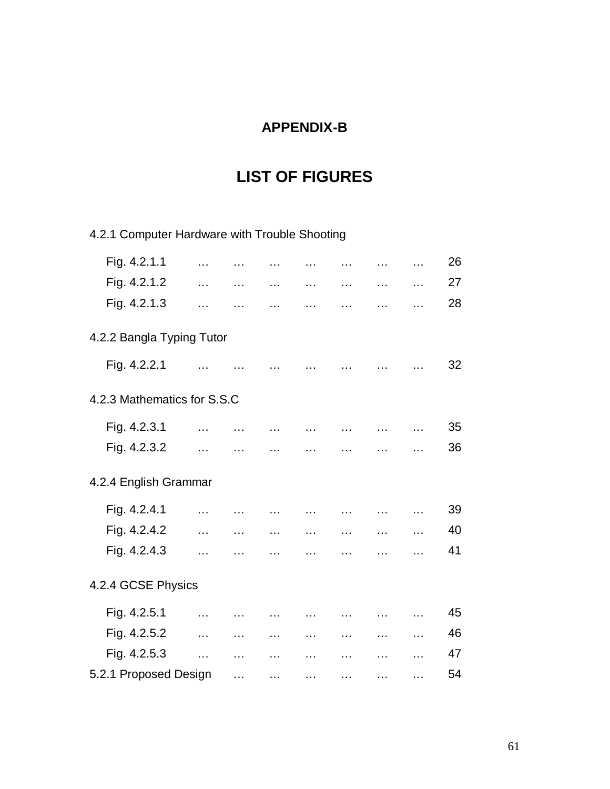# **APPENDIX-B**

# **LIST OF FIGURES**

4.2.1 Computer Hardware with Trouble Shooting

| Fig. 4.2.1.1                | $\ddotsc$                                             | <b>Contractor</b>           | <b>Contract Contract</b>                     |                             | <b>Contractor</b>           | $\cdots$                | $\cdots$                              | 26 |
|-----------------------------|-------------------------------------------------------|-----------------------------|----------------------------------------------|-----------------------------|-----------------------------|-------------------------|---------------------------------------|----|
| Fig. 4.2.1.2                | $\ddotsc$                                             | $\sim$ $\sim$ $\sim$ $\sim$ | $\sim$ $\sim$                                | <b>Contract Contract</b>    | $\sim$ $\sim$               |                         | and the state                         | 27 |
| Fig. 4.2.1.3                | $\ddotsc$                                             | $\sim$ $\sim$ $\sim$        | المتوارث المتوارث المتوارث المتوارث المتوارث |                             |                             |                         |                                       | 28 |
| 4.2.2 Bangla Typing Tutor   |                                                       |                             |                                              |                             |                             |                         |                                       |    |
| Fig. 4.2.2.1                | $\sim$ 100 $\sim$                                     | $\sim$ $\sim$ $\sim$        | <b><i>Committee States</i></b>               | $\sim$ $\sim$ $\sim$        |                             |                         |                                       | 32 |
| 4.2.3 Mathematics for S.S.C |                                                       |                             |                                              |                             |                             |                         |                                       |    |
| Fig. 4.2.3.1                | فتناه المتناول فتناه المتناول فتناه المتناول فتناولها |                             |                                              |                             |                             |                         |                                       | 35 |
| Fig. 4.2.3.2                | $\ddotsc$                                             | $\sim$ 100 $\sim$           | $\ddotsc$                                    |                             |                             |                         | $\ldots$                              | 36 |
| 4.2.4 English Grammar       |                                                       |                             |                                              |                             |                             |                         |                                       |    |
| Fig. 4.2.4.1                | $\sim$                                                | $\sim$ $\sim$ $\sim$ $\sim$ | فتتراث وتتبارى والتباري وتتراث والمتعارض     |                             |                             |                         |                                       | 39 |
| Fig. 4.2.4.2                | $\sim$ 100                                            | $\sim$ $\sim$ $\sim$ $\sim$ | $\sim$ $\sim$ $\sim$                         | $\sim$ $\sim$ $\sim$ $\sim$ | $\sim$ $\sim$ $\sim$ $\sim$ | $\cdots$                | <b>Contractor</b>                     | 40 |
| Fig. 4.2.4.3                | $\ddotsc$                                             | $\sim$                      | $\ddotsc$                                    | $\cdots$                    | $\ddotsc$                   | $\cdots$                | $\ldots$                              | 41 |
| 4.2.4 GCSE Physics          |                                                       |                             |                                              |                             |                             |                         |                                       |    |
| Fig. 4.2.5.1                | $\sim 100$                                            | $\sim 100$ and              | and the contract of the contract of the      |                             |                             | and the state           |                                       | 45 |
| Fig. 4.2.5.2                | $\ddotsc$                                             | $\sim$                      | $\ldots$                                     | $\sim$ 100 $\mu$            | $\sim$                      |                         | <b><i>Print</i></b> 2007 <b>Print</b> | 46 |
| Fig. 4.2.5.3                | $\ddotsc$                                             | $\sim$ $\sim$ $\sim$        | $\ldots$                                     | $\sim 100$ and $\sim 100$   | $\sim 100$                  | $\cdots$                | $\sim$ $\sim$ $\sim$ $\sim$           | 47 |
| 5.2.1 Proposed Design       |                                                       | $\ddotsc$                   | $\ldots$                                     | <b>Contractor</b>           | <b>Contractor</b>           | <b>Address Contract</b> | $\ddotsc$                             | 54 |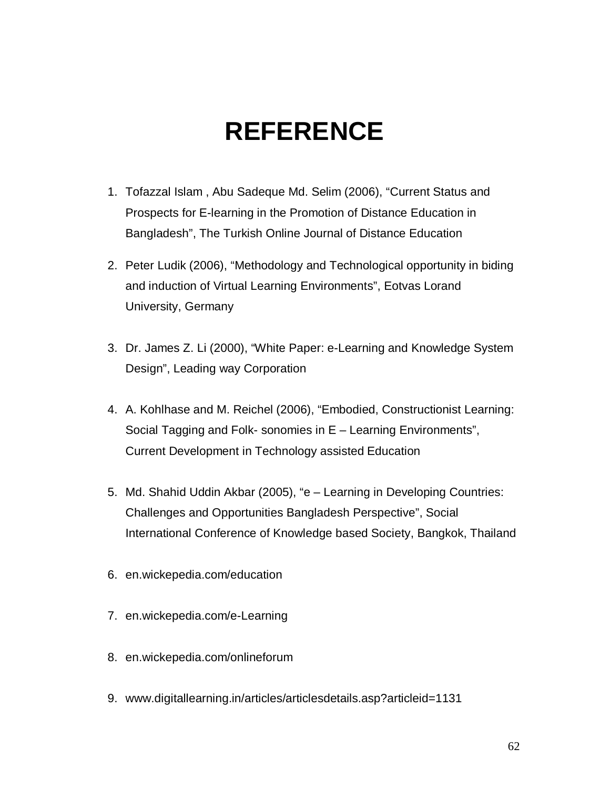# **REFERENCE**

- 1. Tofazzal Islam , Abu Sadeque Md. Selim (2006), "Current Status and Prospects for E-learning in the Promotion of Distance Education in Bangladesh", The Turkish Online Journal of Distance Education
- 2. Peter Ludik (2006), "Methodology and Technological opportunity in biding and induction of Virtual Learning Environments", Eotvas Lorand University, Germany
- 3. Dr. James Z. Li (2000), "White Paper: e-Learning and Knowledge System Design", Leading way Corporation
- 4. A. Kohlhase and M. Reichel (2006), "Embodied, Constructionist Learning: Social Tagging and Folk- sonomies in E – Learning Environments", Current Development in Technology assisted Education
- 5. Md. Shahid Uddin Akbar (2005), "e Learning in Developing Countries: Challenges and Opportunities Bangladesh Perspective", Social International Conference of Knowledge based Society, Bangkok, Thailand
- 6. en.wickepedia.com/education
- 7. en.wickepedia.com/e-Learning
- 8. en.wickepedia.com/onlineforum
- 9. www.digitallearning.in/articles/articlesdetails.asp?articleid=1131